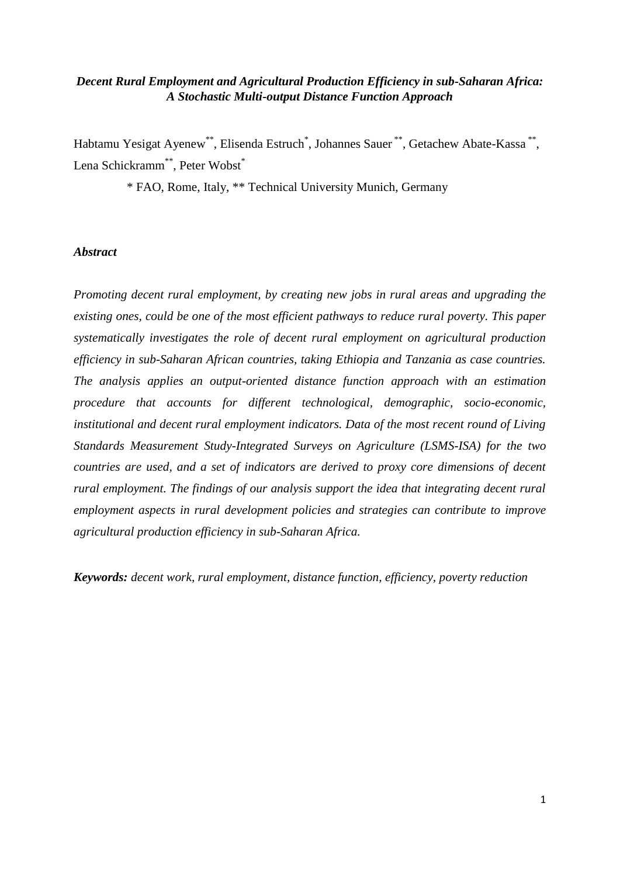# *Decent Rural Employment and Agricultural Production Efficiency in sub-Saharan Africa: A Stochastic Multi-output Distance Function Approach*

Habtamu Yesigat Ayenew\*\*, Elisenda Estruch\*, Johannes Sauer\*\*, Getachew Abate-Kassa\*\*, Lena Schickramm<sup>\*\*</sup>, Peter Wobst<sup>\*</sup>

\* FAO, Rome, Italy, \*\* Technical University Munich, Germany

## *Abstract*

*Promoting decent rural employment, by creating new jobs in rural areas and upgrading the existing ones, could be one of the most efficient pathways to reduce rural poverty. This paper systematically investigates the role of decent rural employment on agricultural production efficiency in sub-Saharan African countries, taking Ethiopia and Tanzania as case countries. The analysis applies an output-oriented distance function approach with an estimation procedure that accounts for different technological, demographic, socio-economic, institutional and decent rural employment indicators. Data of the most recent round of Living Standards Measurement Study-Integrated Surveys on Agriculture (LSMS-ISA) for the two countries are used, and a set of indicators are derived to proxy core dimensions of decent rural employment. The findings of our analysis support the idea that integrating decent rural employment aspects in rural development policies and strategies can contribute to improve agricultural production efficiency in sub-Saharan Africa.* 

*Keywords: decent work, rural employment, distance function, efficiency, poverty reduction*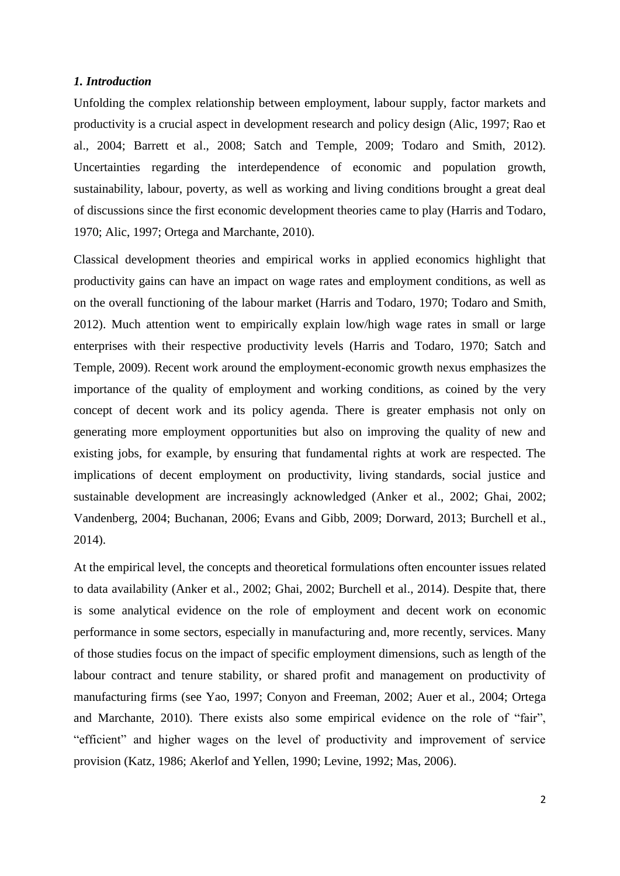#### *1. Introduction*

Unfolding the complex relationship between employment, labour supply, factor markets and productivity is a crucial aspect in development research and policy design (Alic, 1997; Rao et al., 2004; Barrett et al., 2008; Satch and Temple, 2009; Todaro and Smith, 2012). Uncertainties regarding the interdependence of economic and population growth, sustainability, labour, poverty, as well as working and living conditions brought a great deal of discussions since the first economic development theories came to play (Harris and Todaro, 1970; Alic, 1997; Ortega and Marchante, 2010).

Classical development theories and empirical works in applied economics highlight that productivity gains can have an impact on wage rates and employment conditions, as well as on the overall functioning of the labour market (Harris and Todaro, 1970; Todaro and Smith, 2012). Much attention went to empirically explain low/high wage rates in small or large enterprises with their respective productivity levels (Harris and Todaro, 1970; Satch and Temple, 2009). Recent work around the employment-economic growth nexus emphasizes the importance of the quality of employment and working conditions, as coined by the very concept of decent work and its policy agenda. There is greater emphasis not only on generating more employment opportunities but also on improving the quality of new and existing jobs, for example, by ensuring that fundamental rights at work are respected. The implications of decent employment on productivity, living standards, social justice and sustainable development are increasingly acknowledged (Anker et al., 2002; Ghai, 2002; Vandenberg, 2004; Buchanan, 2006; Evans and Gibb, 2009; Dorward, 2013; Burchell et al., 2014).

At the empirical level, the concepts and theoretical formulations often encounter issues related to data availability (Anker et al., 2002; Ghai, 2002; Burchell et al., 2014). Despite that, there is some analytical evidence on the role of employment and decent work on economic performance in some sectors, especially in manufacturing and, more recently, services. Many of those studies focus on the impact of specific employment dimensions, such as length of the labour contract and tenure stability, or shared profit and management on productivity of manufacturing firms (see Yao, 1997; Conyon and Freeman, 2002; Auer et al., 2004; Ortega and Marchante, 2010). There exists also some empirical evidence on the role of "fair", "efficient" and higher wages on the level of productivity and improvement of service provision (Katz, 1986; Akerlof and Yellen, 1990; Levine, 1992; Mas, 2006).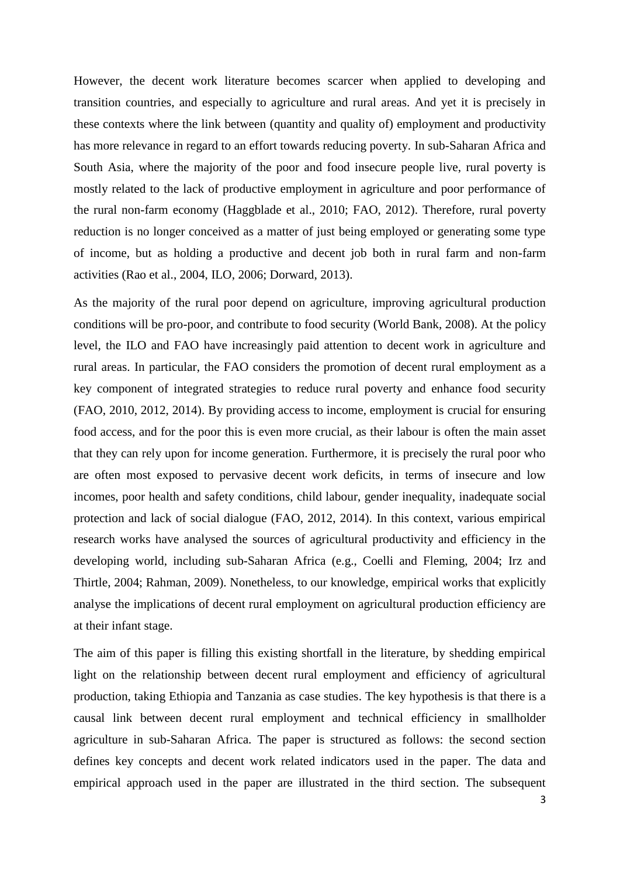However, the decent work literature becomes scarcer when applied to developing and transition countries, and especially to agriculture and rural areas. And yet it is precisely in these contexts where the link between (quantity and quality of) employment and productivity has more relevance in regard to an effort towards reducing poverty. In sub-Saharan Africa and South Asia, where the majority of the poor and food insecure people live, rural poverty is mostly related to the lack of productive employment in agriculture and poor performance of the rural non-farm economy (Haggblade et al., 2010; FAO, 2012). Therefore, rural poverty reduction is no longer conceived as a matter of just being employed or generating some type of income, but as holding a productive and decent job both in rural farm and non-farm activities (Rao et al., 2004, ILO, 2006; Dorward, 2013).

As the majority of the rural poor depend on agriculture, improving agricultural production conditions will be pro-poor, and contribute to food security (World Bank, 2008). At the policy level, the ILO and FAO have increasingly paid attention to decent work in agriculture and rural areas. In particular, the FAO considers the promotion of decent rural employment as a key component of integrated strategies to reduce rural poverty and enhance food security (FAO, 2010, 2012, 2014). By providing access to income, employment is crucial for ensuring food access, and for the poor this is even more crucial, as their labour is often the main asset that they can rely upon for income generation. Furthermore, it is precisely the rural poor who are often most exposed to pervasive decent work deficits, in terms of insecure and low incomes, poor health and safety conditions, child labour, gender inequality, inadequate social protection and lack of social dialogue (FAO, 2012, 2014). In this context, various empirical research works have analysed the sources of agricultural productivity and efficiency in the developing world, including sub-Saharan Africa (e.g., Coelli and Fleming, 2004; Irz and Thirtle, 2004; Rahman, 2009). Nonetheless, to our knowledge, empirical works that explicitly analyse the implications of decent rural employment on agricultural production efficiency are at their infant stage.

The aim of this paper is filling this existing shortfall in the literature, by shedding empirical light on the relationship between decent rural employment and efficiency of agricultural production, taking Ethiopia and Tanzania as case studies. The key hypothesis is that there is a causal link between decent rural employment and technical efficiency in smallholder agriculture in sub-Saharan Africa. The paper is structured as follows: the second section defines key concepts and decent work related indicators used in the paper. The data and empirical approach used in the paper are illustrated in the third section. The subsequent

3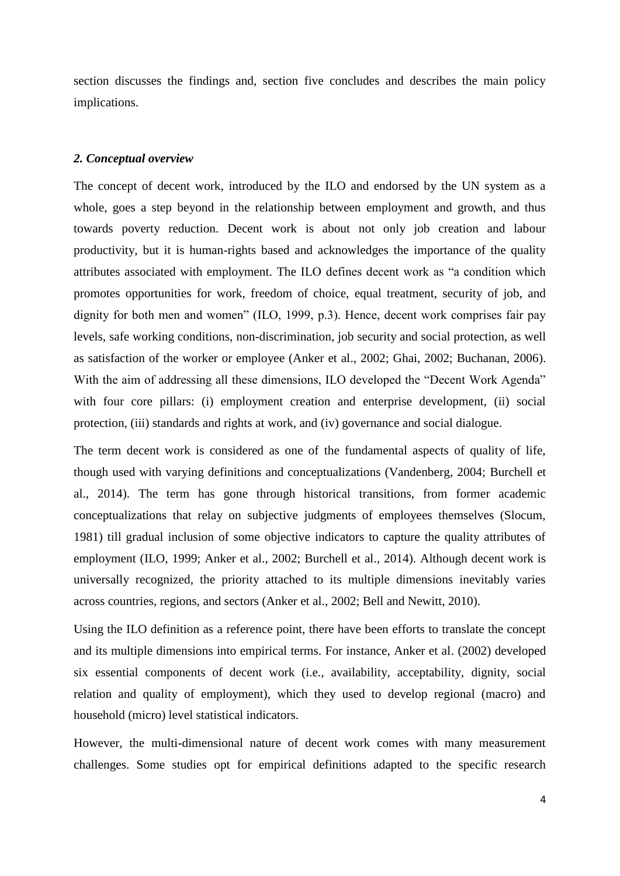section discusses the findings and, section five concludes and describes the main policy implications.

#### *2. Conceptual overview*

The concept of decent work, introduced by the ILO and endorsed by the UN system as a whole, goes a step beyond in the relationship between employment and growth, and thus towards poverty reduction. Decent work is about not only job creation and labour productivity, but it is human-rights based and acknowledges the importance of the quality attributes associated with employment. The ILO defines decent work as "a condition which promotes opportunities for work, freedom of choice, equal treatment, security of job, and dignity for both men and women" (ILO, 1999, p.3). Hence, decent work comprises fair pay levels, safe working conditions, non-discrimination, job security and social protection, as well as satisfaction of the worker or employee (Anker et al., 2002; Ghai, 2002; Buchanan, 2006). With the aim of addressing all these dimensions, ILO developed the "Decent Work Agenda" with four core pillars: (i) employment creation and enterprise development, (ii) social protection, (iii) standards and rights at work, and (iv) governance and social dialogue.

The term decent work is considered as one of the fundamental aspects of quality of life, though used with varying definitions and conceptualizations (Vandenberg, 2004; Burchell et al., 2014). The term has gone through historical transitions, from former academic conceptualizations that relay on subjective judgments of employees themselves (Slocum, 1981) till gradual inclusion of some objective indicators to capture the quality attributes of employment (ILO, 1999; Anker et al., 2002; Burchell et al., 2014). Although decent work is universally recognized, the priority attached to its multiple dimensions inevitably varies across countries, regions, and sectors (Anker et al., 2002; Bell and Newitt, 2010).

Using the ILO definition as a reference point, there have been efforts to translate the concept and its multiple dimensions into empirical terms. For instance, Anker et al. (2002) developed six essential components of decent work (i.e., availability, acceptability, dignity, social relation and quality of employment), which they used to develop regional (macro) and household (micro) level statistical indicators.

However, the multi-dimensional nature of decent work comes with many measurement challenges. Some studies opt for empirical definitions adapted to the specific research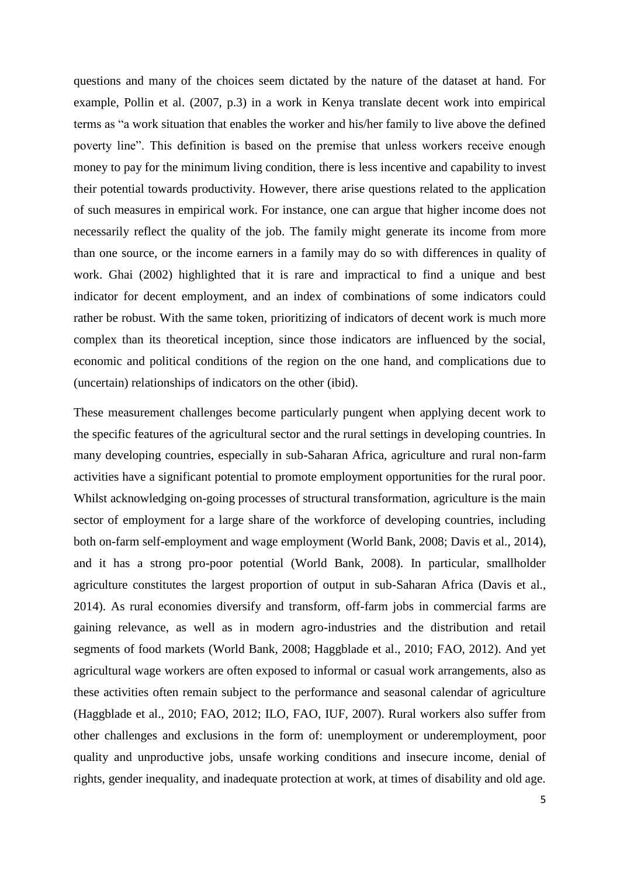questions and many of the choices seem dictated by the nature of the dataset at hand. For example, Pollin et al. (2007, p.3) in a work in Kenya translate decent work into empirical terms as "a work situation that enables the worker and his/her family to live above the defined poverty line". This definition is based on the premise that unless workers receive enough money to pay for the minimum living condition, there is less incentive and capability to invest their potential towards productivity. However, there arise questions related to the application of such measures in empirical work. For instance, one can argue that higher income does not necessarily reflect the quality of the job. The family might generate its income from more than one source, or the income earners in a family may do so with differences in quality of work. Ghai (2002) highlighted that it is rare and impractical to find a unique and best indicator for decent employment, and an index of combinations of some indicators could rather be robust. With the same token, prioritizing of indicators of decent work is much more complex than its theoretical inception, since those indicators are influenced by the social, economic and political conditions of the region on the one hand, and complications due to (uncertain) relationships of indicators on the other (ibid).

These measurement challenges become particularly pungent when applying decent work to the specific features of the agricultural sector and the rural settings in developing countries. In many developing countries, especially in sub-Saharan Africa, agriculture and rural non-farm activities have a significant potential to promote employment opportunities for the rural poor. Whilst acknowledging on-going processes of structural transformation, agriculture is the main sector of employment for a large share of the workforce of developing countries, including both on-farm self-employment and wage employment (World Bank, 2008; Davis et al., 2014), and it has a strong pro-poor potential (World Bank, 2008). In particular, smallholder agriculture constitutes the largest proportion of output in sub-Saharan Africa (Davis et al., 2014). As rural economies diversify and transform, off-farm jobs in commercial farms are gaining relevance, as well as in modern agro-industries and the distribution and retail segments of food markets (World Bank, 2008; Haggblade et al., 2010; FAO, 2012). And yet agricultural wage workers are often exposed to informal or casual work arrangements, also as these activities often remain subject to the performance and seasonal calendar of agriculture (Haggblade et al., 2010; FAO, 2012; ILO, FAO, IUF, 2007). Rural workers also suffer from other challenges and exclusions in the form of: unemployment or underemployment, poor quality and unproductive jobs, unsafe working conditions and insecure income, denial of rights, gender inequality, and inadequate protection at work, at times of disability and old age.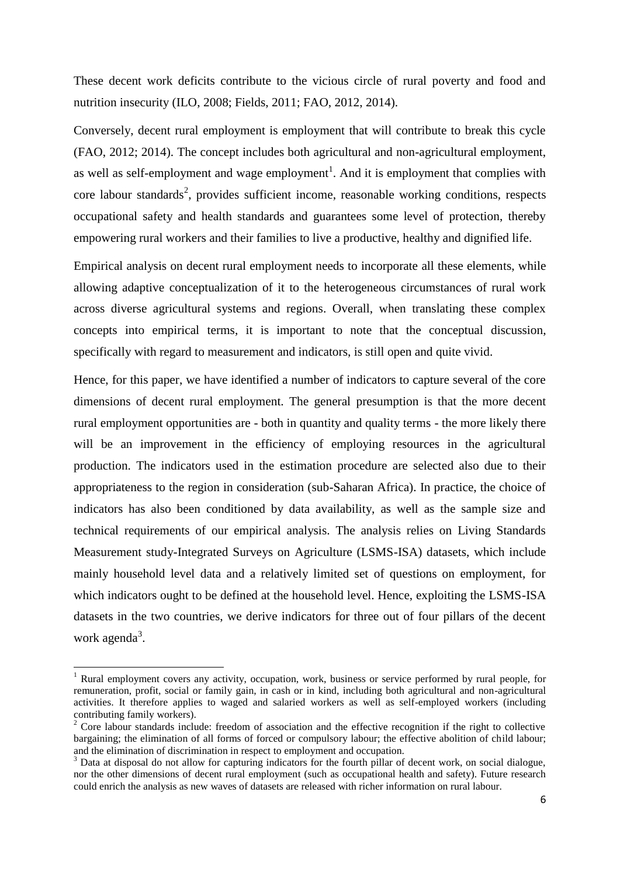These decent work deficits contribute to the vicious circle of rural poverty and food and nutrition insecurity (ILO, 2008; Fields, 2011; FAO, 2012, 2014).

Conversely, decent rural employment is employment that will contribute to break this cycle (FAO, 2012; 2014). The concept includes both agricultural and non-agricultural employment, as well as self-employment and wage employment<sup>1</sup>. And it is employment that complies with core labour standards<sup>2</sup>, provides sufficient income, reasonable working conditions, respects occupational safety and health standards and guarantees some level of protection, thereby empowering rural workers and their families to live a productive, healthy and dignified life.

Empirical analysis on decent rural employment needs to incorporate all these elements, while allowing adaptive conceptualization of it to the heterogeneous circumstances of rural work across diverse agricultural systems and regions. Overall, when translating these complex concepts into empirical terms, it is important to note that the conceptual discussion, specifically with regard to measurement and indicators, is still open and quite vivid.

Hence, for this paper, we have identified a number of indicators to capture several of the core dimensions of decent rural employment. The general presumption is that the more decent rural employment opportunities are - both in quantity and quality terms - the more likely there will be an improvement in the efficiency of employing resources in the agricultural production. The indicators used in the estimation procedure are selected also due to their appropriateness to the region in consideration (sub-Saharan Africa). In practice, the choice of indicators has also been conditioned by data availability, as well as the sample size and technical requirements of our empirical analysis. The analysis relies on Living Standards Measurement study-Integrated Surveys on Agriculture (LSMS-ISA) datasets, which include mainly household level data and a relatively limited set of questions on employment, for which indicators ought to be defined at the household level. Hence, exploiting the LSMS-ISA datasets in the two countries, we derive indicators for three out of four pillars of the decent work agenda<sup>3</sup>.

1

<sup>&</sup>lt;sup>1</sup> Rural employment covers any activity, occupation, work, business or service performed by rural people, for remuneration, profit, social or family gain, in cash or in kind, including both agricultural and non-agricultural activities. It therefore applies to waged and salaried workers as well as self-employed workers (including contributing family workers).

<sup>&</sup>lt;sup>2</sup> Core labour standards include: freedom of association and the effective recognition if the right to collective bargaining; the elimination of all forms of forced or compulsory labour; the effective abolition of child labour; and the elimination of discrimination in respect to employment and occupation.

 $3$  Data at disposal do not allow for capturing indicators for the fourth pillar of decent work, on social dialogue, nor the other dimensions of decent rural employment (such as occupational health and safety). Future research could enrich the analysis as new waves of datasets are released with richer information on rural labour.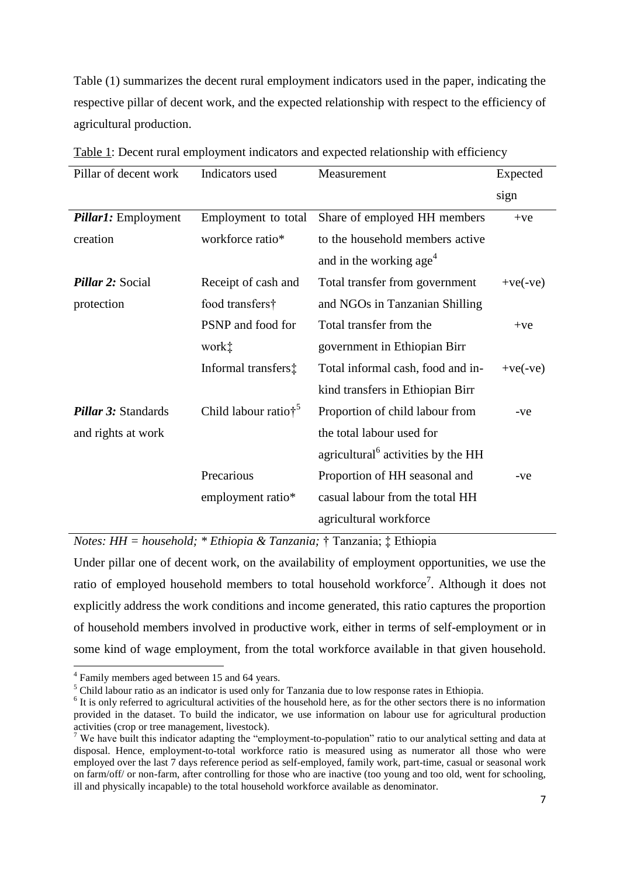Table (1) summarizes the decent rural employment indicators used in the paper, indicating the respective pillar of decent work, and the expected relationship with respect to the efficiency of agricultural production.

| Pillar of decent work      | Indicators used                 | Measurement                                    | Expected   |
|----------------------------|---------------------------------|------------------------------------------------|------------|
|                            |                                 |                                                | sign       |
| <i>Pillar1:</i> Employment | Employment to total             | Share of employed HH members                   | $+ve$      |
| creation                   | workforce ratio*                | to the household members active                |            |
|                            |                                 | and in the working age <sup>4</sup>            |            |
| <b>Pillar 2: Social</b>    | Receipt of cash and             | Total transfer from government                 | $+ve(-ve)$ |
| protection                 | food transfers†                 | and NGOs in Tanzanian Shilling                 |            |
|                            | PSNP and food for               | Total transfer from the                        | $+ve$      |
|                            | work‡                           | government in Ethiopian Birr                   |            |
|                            | Informal transfers‡             | Total informal cash, food and in-              | $+ve(-ve)$ |
|                            |                                 | kind transfers in Ethiopian Birr               |            |
| Pillar 3: Standards        | Child labour ratio <sup>†</sup> | Proportion of child labour from                | $-ve$      |
| and rights at work         |                                 | the total labour used for                      |            |
|                            |                                 | agricultural <sup>6</sup> activities by the HH |            |
|                            | Precarious                      | Proportion of HH seasonal and                  | $-ve$      |
|                            | employment ratio*               | casual labour from the total HH                |            |
|                            |                                 | agricultural workforce                         |            |

| Table 1: Decent rural employment indicators and expected relationship with efficiency |  |  |  |  |  |  |  |  |
|---------------------------------------------------------------------------------------|--|--|--|--|--|--|--|--|
|---------------------------------------------------------------------------------------|--|--|--|--|--|--|--|--|

*Notes: HH = household; \* Ethiopia & Tanzania;* † Tanzania; ‡ Ethiopia

Under pillar one of decent work, on the availability of employment opportunities, we use the ratio of employed household members to total household workforce<sup>7</sup>. Although it does not explicitly address the work conditions and income generated, this ratio captures the proportion of household members involved in productive work, either in terms of self-employment or in some kind of wage employment, from the total workforce available in that given household.

 4 Family members aged between 15 and 64 years.

<sup>&</sup>lt;sup>5</sup> Child labour ratio as an indicator is used only for Tanzania due to low response rates in Ethiopia.

<sup>&</sup>lt;sup>6</sup> It is only referred to agricultural activities of the household here, as for the other sectors there is no information provided in the dataset. To build the indicator, we use information on labour use for agricultural production activities (crop or tree management, livestock).

<sup>&</sup>lt;sup>7</sup> We have built this indicator adapting the "employment-to-population" ratio to our analytical setting and data at disposal. Hence, employment-to-total workforce ratio is measured using as numerator all those who were employed over the last 7 days reference period as self-employed, family work, part-time, casual or seasonal work on farm/off/ or non-farm, after controlling for those who are inactive (too young and too old, went for schooling, ill and physically incapable) to the total household workforce available as denominator.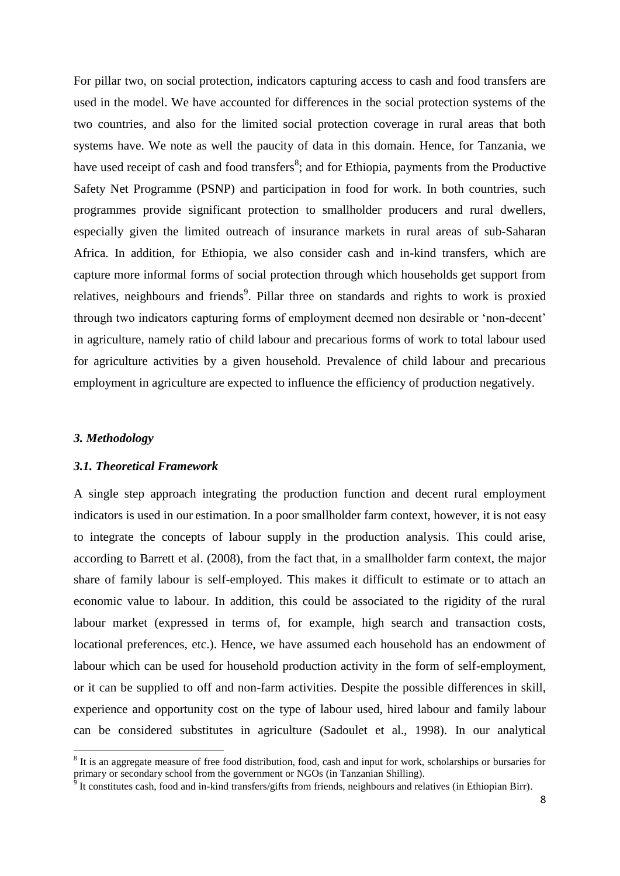For pillar two, on social protection, indicators capturing access to cash and food transfers are used in the model. We have accounted for differences in the social protection systems of the two countries, and also for the limited social protection coverage in rural areas that both systems have. We note as well the paucity of data in this domain. Hence, for Tanzania, we have used receipt of cash and food transfers<sup>8</sup>; and for Ethiopia, payments from the Productive Safety Net Programme (PSNP) and participation in food for work. In both countries, such programmes provide significant protection to smallholder producers and rural dwellers, especially given the limited outreach of insurance markets in rural areas of sub-Saharan Africa. In addition, for Ethiopia, we also consider cash and in-kind transfers, which are capture more informal forms of social protection through which households get support from relatives, neighbours and friends<sup>9</sup>. Pillar three on standards and rights to work is proxied through two indicators capturing forms of employment deemed non desirable or 'non-decent' in agriculture, namely ratio of child labour and precarious forms of work to total labour used for agriculture activities by a given household. Prevalence of child labour and precarious employment in agriculture are expected to influence the efficiency of production negatively.

## *3. Methodology*

#### *3.1. Theoretical Framework*

A single step approach integrating the production function and decent rural employment indicators is used in our estimation. In a poor smallholder farm context, however, it is not easy to integrate the concepts of labour supply in the production analysis. This could arise, according to Barrett et al. (2008), from the fact that, in a smallholder farm context, the major share of family labour is self-employed. This makes it difficult to estimate or to attach an economic value to labour. In addition, this could be associated to the rigidity of the rural labour market (expressed in terms of, for example, high search and transaction costs, locational preferences, etc.). Hence, we have assumed each household has an endowment of labour which can be used for household production activity in the form of self-employment, or it can be supplied to off and non-farm activities. Despite the possible differences in skill, experience and opportunity cost on the type of labour used, hired labour and family labour can be considered substitutes in agriculture (Sadoulet et al., 1998). In our analytical

<sup>&</sup>lt;sup>8</sup> It is an aggregate measure of free food distribution, food, cash and input for work, scholarships or bursaries for primary or secondary school from the government or NGOs (in Tanzanian Shilling).

<sup>&</sup>lt;sup>9</sup> It constitutes cash, food and in-kind transfers/gifts from friends, neighbours and relatives (in Ethiopian Birr).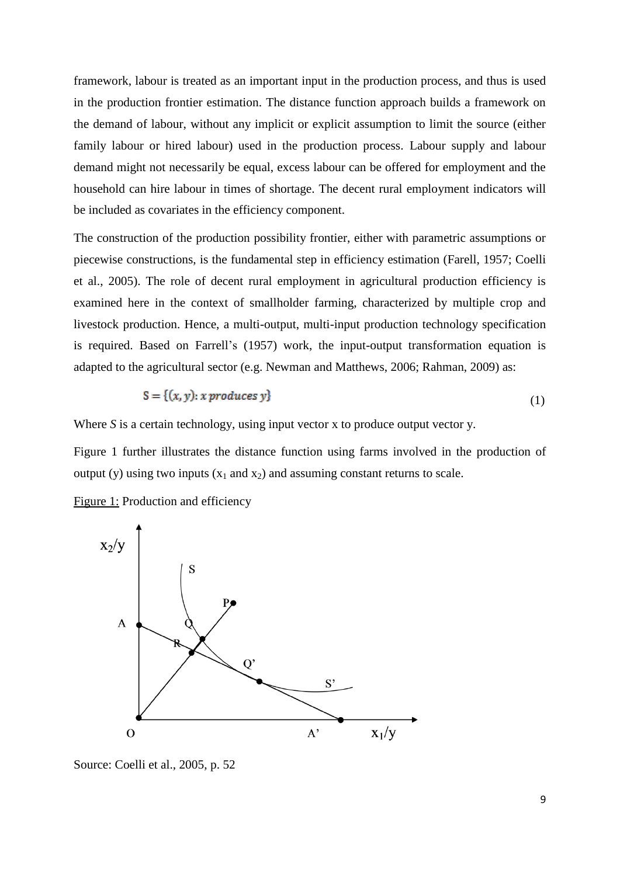framework, labour is treated as an important input in the production process, and thus is used in the production frontier estimation. The distance function approach builds a framework on the demand of labour, without any implicit or explicit assumption to limit the source (either family labour or hired labour) used in the production process. Labour supply and labour demand might not necessarily be equal, excess labour can be offered for employment and the household can hire labour in times of shortage. The decent rural employment indicators will be included as covariates in the efficiency component.

The construction of the production possibility frontier, either with parametric assumptions or piecewise constructions, is the fundamental step in efficiency estimation (Farell, 1957; Coelli et al., 2005). The role of decent rural employment in agricultural production efficiency is examined here in the context of smallholder farming, characterized by multiple crop and livestock production. Hence, a multi-output, multi-input production technology specification is required. Based on Farrell's (1957) work, the input-output transformation equation is adapted to the agricultural sector (e.g. Newman and Matthews, 2006; Rahman, 2009) as:

$$
S = \{(x, y): x \text{ produces } y\}
$$
\n
$$
(1)
$$

Where *S* is a certain technology, using input vector *x* to produce output vector *y*.

Figure 1 further illustrates the distance function using farms involved in the production of output (y) using two inputs  $(x_1 \text{ and } x_2)$  and assuming constant returns to scale.





Source: Coelli et al., 2005, p. 52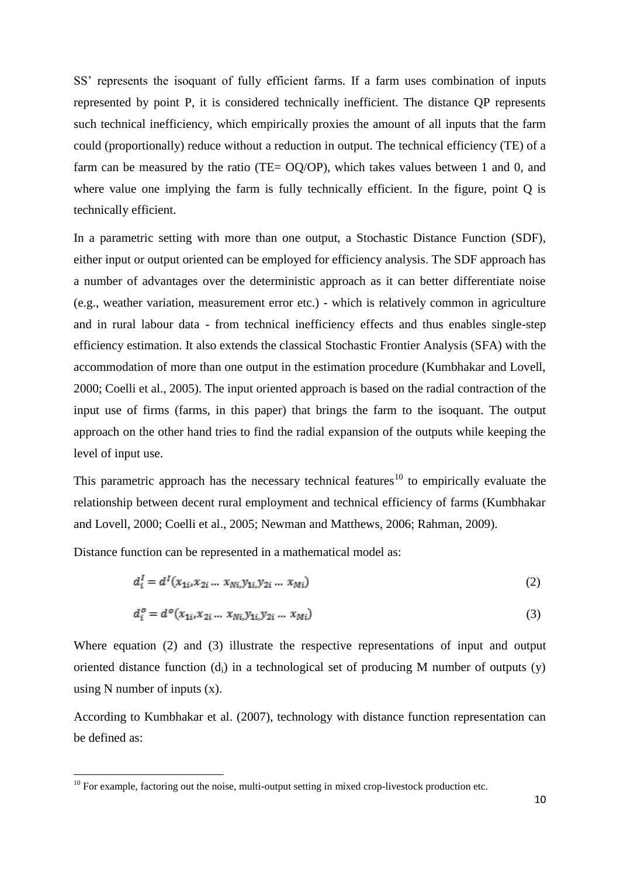SS' represents the isoquant of fully efficient farms. If a farm uses combination of inputs represented by point P, it is considered technically inefficient. The distance QP represents such technical inefficiency, which empirically proxies the amount of all inputs that the farm could (proportionally) reduce without a reduction in output. The technical efficiency (TE) of a farm can be measured by the ratio (TE=  $OQ/OP$ ), which takes values between 1 and 0, and where value one implying the farm is fully technically efficient. In the figure, point O is technically efficient.

In a parametric setting with more than one output, a Stochastic Distance Function (SDF), either input or output oriented can be employed for efficiency analysis. The SDF approach has a number of advantages over the deterministic approach as it can better differentiate noise (e.g., weather variation, measurement error etc.) - which is relatively common in agriculture and in rural labour data - from technical inefficiency effects and thus enables single-step efficiency estimation. It also extends the classical Stochastic Frontier Analysis (SFA) with the accommodation of more than one output in the estimation procedure (Kumbhakar and Lovell, 2000; Coelli et al., 2005). The input oriented approach is based on the radial contraction of the input use of firms (farms, in this paper) that brings the farm to the isoquant. The output approach on the other hand tries to find the radial expansion of the outputs while keeping the level of input use.

This parametric approach has the necessary technical features<sup>10</sup> to empirically evaluate the relationship between decent rural employment and technical efficiency of farms (Kumbhakar and Lovell, 2000; Coelli et al., 2005; Newman and Matthews, 2006; Rahman, 2009).

Distance function can be represented in a mathematical model as:

1

$$
d_i^I = d^I(x_{1i}, x_{2i} \dots x_{Ni}, y_{1i}, y_{2i} \dots x_{Mi})
$$
\n(2)

$$
d_i^o = d^o(x_{1i}, x_{2i} \dots x_{Ni}, y_{1i}, y_{2i} \dots x_{Mi})
$$
\n(3)

Where equation (2) and (3) illustrate the respective representations of input and output oriented distance function  $(d_i)$  in a technological set of producing M number of outputs  $(y)$ using N number of inputs  $(x)$ .

According to Kumbhakar et al. (2007), technology with distance function representation can be defined as:

 $10$  For example, factoring out the noise, multi-output setting in mixed crop-livestock production etc.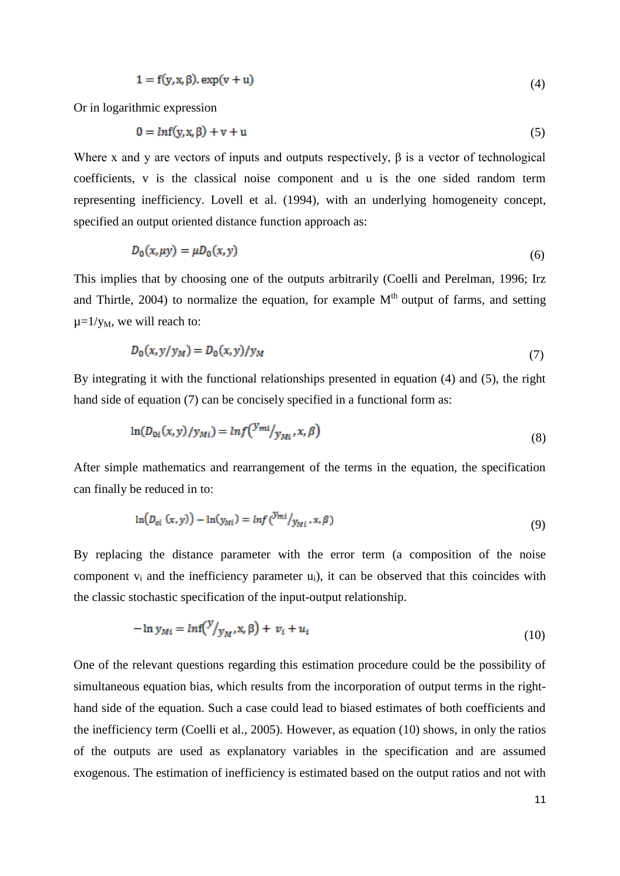$$
1 = f(y, x, \beta) \cdot \exp(v + u) \tag{4}
$$

Or in logarithmic expression

$$
0 = ln f(y, x, \beta) + v + u \tag{5}
$$

Where x and y are vectors of inputs and outputs respectively,  $\beta$  is a vector of technological coefficients, v is the classical noise component and u is the one sided random term representing inefficiency. Lovell et al. (1994), with an underlying homogeneity concept, specified an output oriented distance function approach as:

$$
D_0(x, \mu y) = \mu D_0(x, y) \tag{6}
$$

This implies that by choosing one of the outputs arbitrarily (Coelli and Perelman, 1996; Irz and Thirtle,  $2004$ ) to normalize the equation, for example  $M<sup>th</sup>$  output of farms, and setting  $\mu = 1/y_M$ , we will reach to:

$$
D_0(x, y/y_M) = D_0(x, y)/y_M
$$
\n(7)

By integrating it with the functional relationships presented in equation (4) and (5), the right hand side of equation (7) can be concisely specified in a functional form as:

$$
\ln(D_{0i}(x, y)/y_{Mi}) = \ln f\left(\frac{y_{mi}}{y_{Mi}}, x, \beta\right) \tag{8}
$$

After simple mathematics and rearrangement of the terms in the equation, the specification can finally be reduced in to:

$$
\ln(D_{oi}(x, y)) - \ln(y_{Mi}) = \ln f \left( \frac{y_{mi}}{y_{Mi}}, x, \beta \right) \tag{9}
$$

By replacing the distance parameter with the error term (a composition of the noise component  $v_i$  and the inefficiency parameter  $u_i$ ), it can be observed that this coincides with the classic stochastic specification of the input-output relationship.

$$
-\ln y_{Mi} = \ln f(\frac{y}{y_M}, \mathbf{x}, \beta) + v_i + u_i \tag{10}
$$

One of the relevant questions regarding this estimation procedure could be the possibility of simultaneous equation bias, which results from the incorporation of output terms in the righthand side of the equation. Such a case could lead to biased estimates of both coefficients and the inefficiency term (Coelli et al., 2005). However, as equation (10) shows, in only the ratios of the outputs are used as explanatory variables in the specification and are assumed exogenous. The estimation of inefficiency is estimated based on the output ratios and not with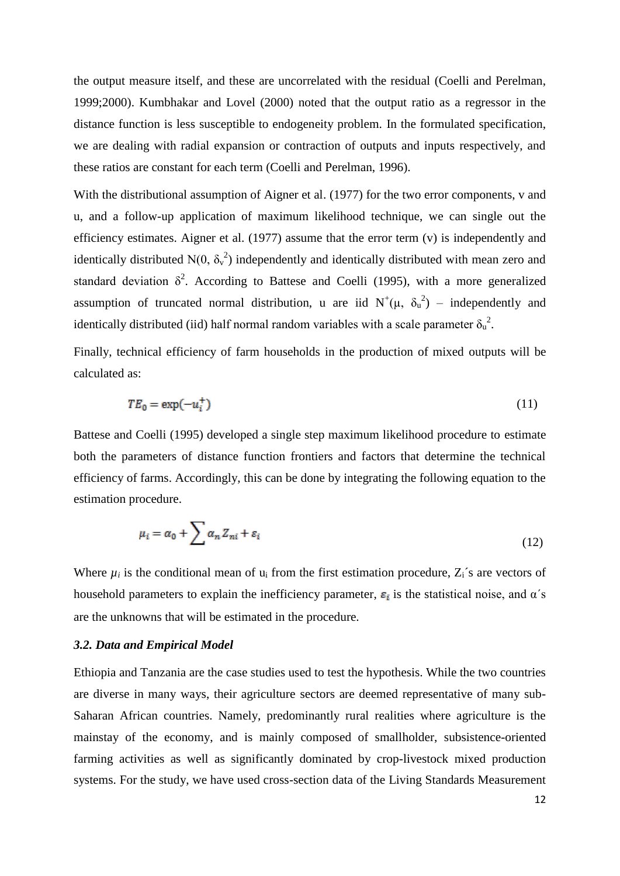the output measure itself, and these are uncorrelated with the residual (Coelli and Perelman, 1999;2000). Kumbhakar and Lovel (2000) noted that the output ratio as a regressor in the distance function is less susceptible to endogeneity problem. In the formulated specification, we are dealing with radial expansion or contraction of outputs and inputs respectively, and these ratios are constant for each term (Coelli and Perelman, 1996).

With the distributional assumption of Aigner et al. (1977) for the two error components, v and u, and a follow-up application of maximum likelihood technique, we can single out the efficiency estimates. Aigner et al. (1977) assume that the error term (v) is independently and identically distributed  $N(0, \delta_v^2)$  independently and identically distributed with mean zero and standard deviation  $\delta^2$ . According to Battese and Coelli (1995), with a more generalized assumption of truncated normal distribution, u are iid  $N^+(\mu, \delta_u^2)$  – independently and identically distributed (iid) half normal random variables with a scale parameter  $\delta_u^2$ .

Finally, technical efficiency of farm households in the production of mixed outputs will be calculated as:

$$
TE_0 = \exp(-u_i^+) \tag{11}
$$

Battese and Coelli (1995) developed a single step maximum likelihood procedure to estimate both the parameters of distance function frontiers and factors that determine the technical efficiency of farms. Accordingly, this can be done by integrating the following equation to the estimation procedure.

$$
\mu_i = \alpha_0 + \sum \alpha_n Z_{ni} + \varepsilon_i \tag{12}
$$

Where  $\mu_i$  is the conditional mean of  $u_i$  from the first estimation procedure,  $Z_i$ 's are vectors of household parameters to explain the inefficiency parameter,  $\varepsilon_i$  is the statistical noise, and  $\alpha$ 's are the unknowns that will be estimated in the procedure.

## *3.2. Data and Empirical Model*

Ethiopia and Tanzania are the case studies used to test the hypothesis. While the two countries are diverse in many ways, their agriculture sectors are deemed representative of many sub-Saharan African countries. Namely, predominantly rural realities where agriculture is the mainstay of the economy, and is mainly composed of smallholder, subsistence-oriented farming activities as well as significantly dominated by crop-livestock mixed production systems. For the study, we have used cross-section data of the Living Standards Measurement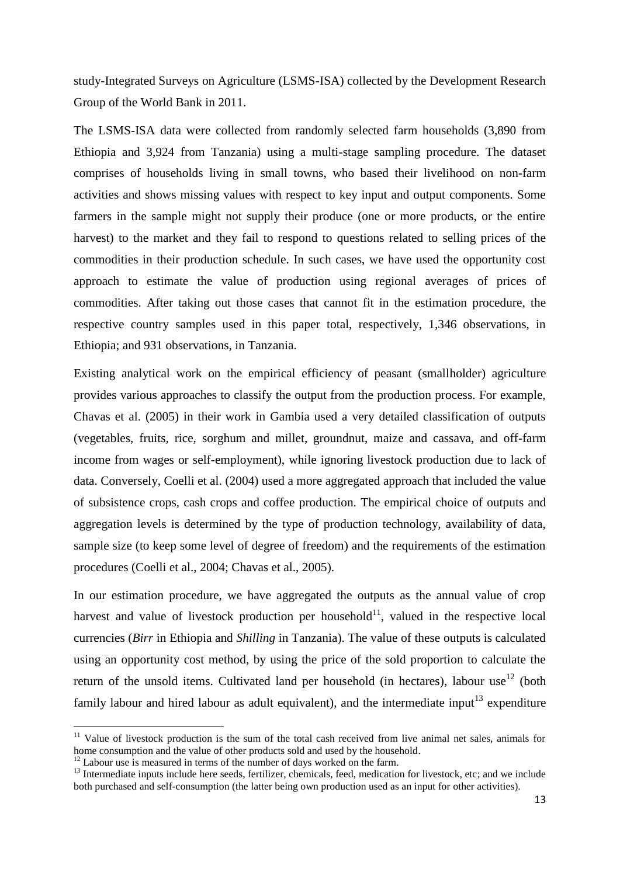study-Integrated Surveys on Agriculture (LSMS-ISA) collected by the Development Research Group of the World Bank in 2011.

The LSMS-ISA data were collected from randomly selected farm households (3,890 from Ethiopia and 3,924 from Tanzania) using a multi-stage sampling procedure. The dataset comprises of households living in small towns, who based their livelihood on non-farm activities and shows missing values with respect to key input and output components. Some farmers in the sample might not supply their produce (one or more products, or the entire harvest) to the market and they fail to respond to questions related to selling prices of the commodities in their production schedule. In such cases, we have used the opportunity cost approach to estimate the value of production using regional averages of prices of commodities. After taking out those cases that cannot fit in the estimation procedure, the respective country samples used in this paper total, respectively, 1,346 observations, in Ethiopia; and 931 observations, in Tanzania.

Existing analytical work on the empirical efficiency of peasant (smallholder) agriculture provides various approaches to classify the output from the production process. For example, Chavas et al. (2005) in their work in Gambia used a very detailed classification of outputs (vegetables, fruits, rice, sorghum and millet, groundnut, maize and cassava, and off-farm income from wages or self-employment), while ignoring livestock production due to lack of data. Conversely, Coelli et al. (2004) used a more aggregated approach that included the value of subsistence crops, cash crops and coffee production. The empirical choice of outputs and aggregation levels is determined by the type of production technology, availability of data, sample size (to keep some level of degree of freedom) and the requirements of the estimation procedures (Coelli et al., 2004; Chavas et al., 2005).

In our estimation procedure, we have aggregated the outputs as the annual value of crop harvest and value of livestock production per household $11$ , valued in the respective local currencies (*Birr* in Ethiopia and *Shilling* in Tanzania). The value of these outputs is calculated using an opportunity cost method, by using the price of the sold proportion to calculate the return of the unsold items. Cultivated land per household (in hectares), labour use<sup>12</sup> (both family labour and hired labour as adult equivalent), and the intermediate input<sup>13</sup> expenditure

**.** 

<sup>&</sup>lt;sup>11</sup> Value of livestock production is the sum of the total cash received from live animal net sales, animals for home consumption and the value of other products sold and used by the household.

 $12$  Labour use is measured in terms of the number of days worked on the farm.

<sup>&</sup>lt;sup>13</sup> Intermediate inputs include here seeds, fertilizer, chemicals, feed, medication for livestock, etc; and we include both purchased and self-consumption (the latter being own production used as an input for other activities).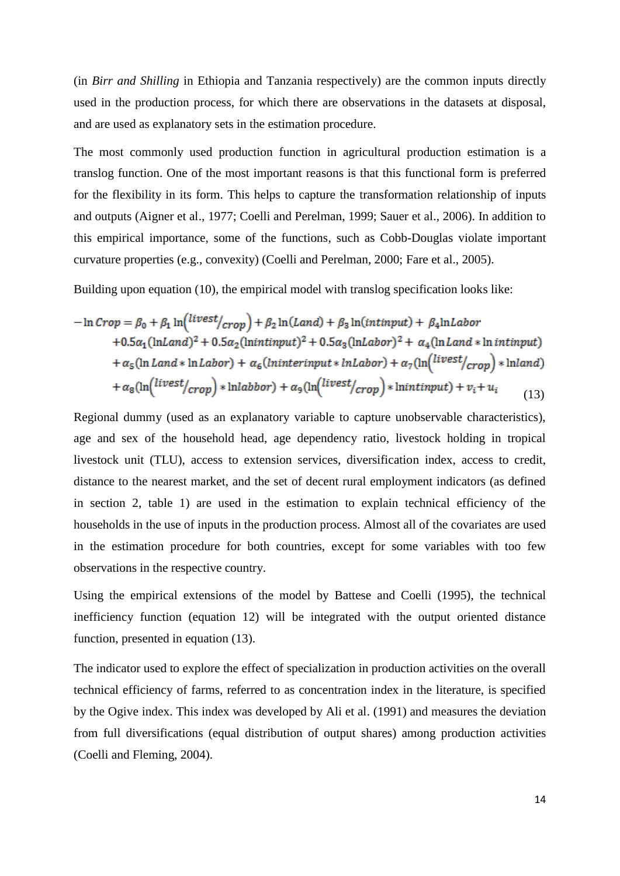(in *Birr and Shilling* in Ethiopia and Tanzania respectively) are the common inputs directly used in the production process, for which there are observations in the datasets at disposal, and are used as explanatory sets in the estimation procedure.

The most commonly used production function in agricultural production estimation is a translog function. One of the most important reasons is that this functional form is preferred for the flexibility in its form. This helps to capture the transformation relationship of inputs and outputs (Aigner et al., 1977; Coelli and Perelman, 1999; Sauer et al., 2006). In addition to this empirical importance, some of the functions, such as Cobb-Douglas violate important curvature properties (e.g., convexity) (Coelli and Perelman, 2000; Fare et al., 2005).

Building upon equation (10), the empirical model with translog specification looks like:

$$
-\ln Crop = \beta_0 + \beta_1 \ln \left( \frac{livest}{crop} \right) + \beta_2 \ln (Land) + \beta_3 \ln (intinput) + \beta_4 \ln Labor
$$
  
+0.5 $\alpha_1$ (lnLand)<sup>2</sup> + 0.5 $\alpha_2$ (lnintinput)<sup>2</sup> + 0.5 $\alpha_3$ (lnLabor)<sup>2</sup> +  $\alpha_4$ (ln Land \* ln intinput)  
+ $\alpha_5$ (ln Land \* lnLabor) +  $\alpha_6$ (lninterinput \* lnLabor) +  $\alpha_7$ (ln(<sup>livest</sup>/crop) \* lnland)  
+ $\alpha_8$ (ln(<sup>livest</sup>/crop) \* lnlabbor) +  $\alpha_9$ (ln(<sup>livest</sup>/crop) \* lnintinput) +  $v_i$  +  $u_i$  (13)

Regional dummy (used as an explanatory variable to capture unobservable characteristics), age and sex of the household head, age dependency ratio, livestock holding in tropical livestock unit (TLU), access to extension services, diversification index, access to credit, distance to the nearest market, and the set of decent rural employment indicators (as defined in section 2, table 1) are used in the estimation to explain technical efficiency of the households in the use of inputs in the production process. Almost all of the covariates are used in the estimation procedure for both countries, except for some variables with too few observations in the respective country.

Using the empirical extensions of the model by Battese and Coelli (1995), the technical inefficiency function (equation 12) will be integrated with the output oriented distance function, presented in equation (13).

The indicator used to explore the effect of specialization in production activities on the overall technical efficiency of farms, referred to as concentration index in the literature, is specified by the Ogive index. This index was developed by Ali et al. (1991) and measures the deviation from full diversifications (equal distribution of output shares) among production activities (Coelli and Fleming, 2004).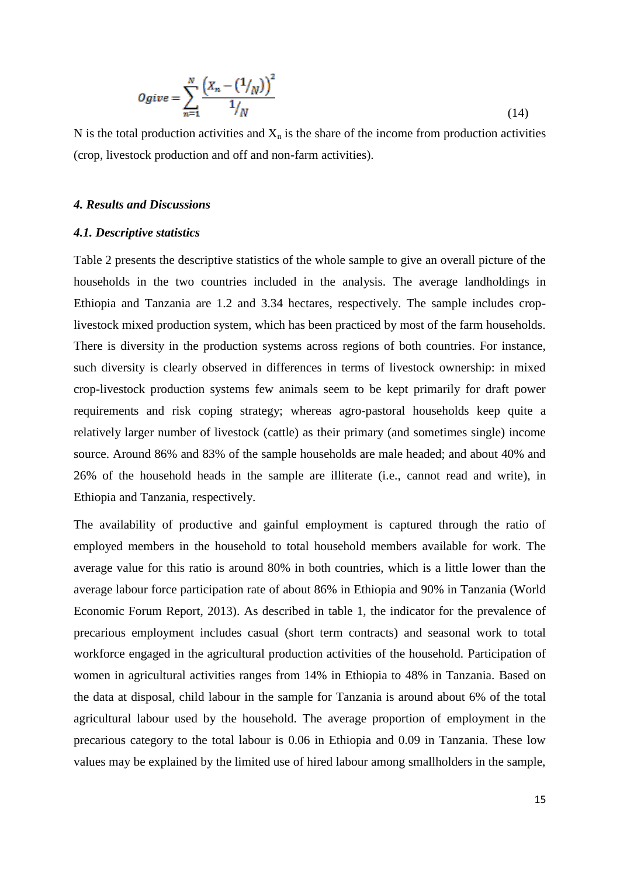$$
Ogive = \sum_{n=1}^{N} \frac{\left(X_n - \left(1/\right_N\right)\right)^2}{1/\left_N\right)}
$$
\n(14)

N is the total production activities and  $X_n$  is the share of the income from production activities (crop, livestock production and off and non-farm activities).

#### *4. Results and Discussions*

#### *4.1. Descriptive statistics*

Table 2 presents the descriptive statistics of the whole sample to give an overall picture of the households in the two countries included in the analysis. The average landholdings in Ethiopia and Tanzania are 1.2 and 3.34 hectares, respectively. The sample includes croplivestock mixed production system, which has been practiced by most of the farm households. There is diversity in the production systems across regions of both countries. For instance, such diversity is clearly observed in differences in terms of livestock ownership: in mixed crop-livestock production systems few animals seem to be kept primarily for draft power requirements and risk coping strategy; whereas agro-pastoral households keep quite a relatively larger number of livestock (cattle) as their primary (and sometimes single) income source. Around 86% and 83% of the sample households are male headed; and about 40% and 26% of the household heads in the sample are illiterate (i.e., cannot read and write), in Ethiopia and Tanzania, respectively.

The availability of productive and gainful employment is captured through the ratio of employed members in the household to total household members available for work. The average value for this ratio is around 80% in both countries, which is a little lower than the average labour force participation rate of about 86% in Ethiopia and 90% in Tanzania (World Economic Forum Report, 2013). As described in table 1, the indicator for the prevalence of precarious employment includes casual (short term contracts) and seasonal work to total workforce engaged in the agricultural production activities of the household. Participation of women in agricultural activities ranges from 14% in Ethiopia to 48% in Tanzania. Based on the data at disposal, child labour in the sample for Tanzania is around about 6% of the total agricultural labour used by the household. The average proportion of employment in the precarious category to the total labour is 0.06 in Ethiopia and 0.09 in Tanzania. These low values may be explained by the limited use of hired labour among smallholders in the sample,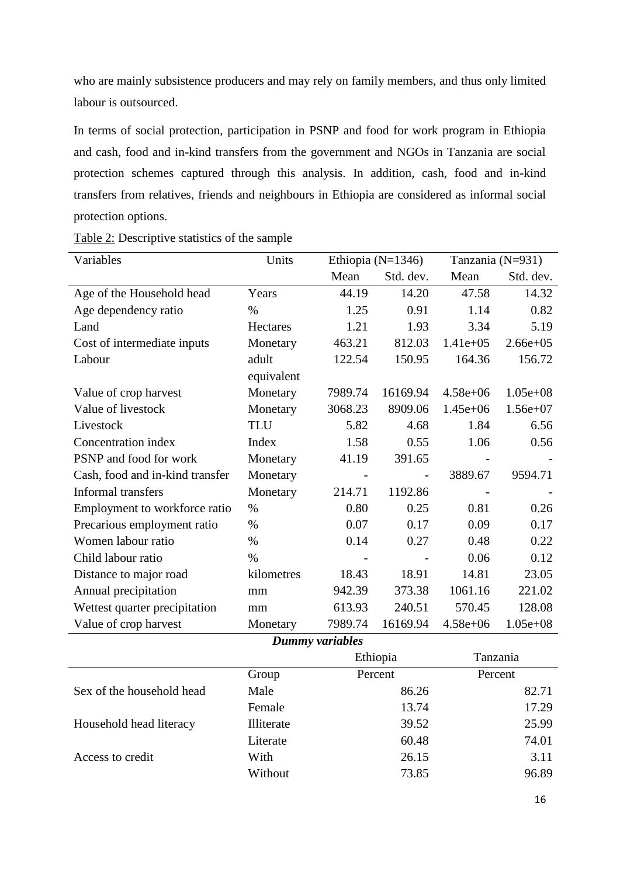who are mainly subsistence producers and may rely on family members, and thus only limited labour is outsourced.

In terms of social protection, participation in PSNP and food for work program in Ethiopia and cash, food and in-kind transfers from the government and NGOs in Tanzania are social protection schemes captured through this analysis. In addition, cash, food and in-kind transfers from relatives, friends and neighbours in Ethiopia are considered as informal social protection options.

| Variables                       | Units      |                 | Ethiopia (N=1346) |              | Tanzania (N=931) |  |
|---------------------------------|------------|-----------------|-------------------|--------------|------------------|--|
|                                 |            | Mean            | Std. dev.         | Mean         | Std. dev.        |  |
| Age of the Household head       | Years      | 44.19           | 14.20             | 47.58        | 14.32            |  |
| Age dependency ratio            | $\%$       | 1.25            | 0.91              | 1.14         | 0.82             |  |
| Land                            | Hectares   | 1.21            | 1.93              | 3.34         | 5.19             |  |
| Cost of intermediate inputs     | Monetary   | 463.21          | 812.03            | $1.41e+05$   | $2.66e + 05$     |  |
| Labour                          | adult      | 122.54          | 150.95            | 164.36       | 156.72           |  |
|                                 | equivalent |                 |                   |              |                  |  |
| Value of crop harvest           | Monetary   | 7989.74         | 16169.94          | $4.58e + 06$ | $1.05e + 08$     |  |
| Value of livestock              | Monetary   | 3068.23         | 8909.06           | $1.45e+06$   | $1.56e+07$       |  |
| Livestock                       | <b>TLU</b> | 5.82            | 4.68              | 1.84         | 6.56             |  |
| Concentration index             | Index      | 1.58            | 0.55              | 1.06         | 0.56             |  |
| PSNP and food for work          | Monetary   | 41.19           | 391.65            |              |                  |  |
| Cash, food and in-kind transfer | Monetary   | $\frac{1}{2}$   | $\frac{1}{2}$     | 3889.67      | 9594.71          |  |
| Informal transfers              | Monetary   | 214.71          | 1192.86           |              |                  |  |
| Employment to workforce ratio   | $\%$       | 0.80            | 0.25              | 0.81         | 0.26             |  |
| Precarious employment ratio     | $\%$       | 0.07            | 0.17              | 0.09         | 0.17             |  |
| Women labour ratio              | $\%$       | 0.14            | 0.27              | 0.48         | 0.22             |  |
| Child labour ratio              | $\%$       |                 |                   | 0.06         | 0.12             |  |
| Distance to major road          | kilometres | 18.43           | 18.91             | 14.81        | 23.05            |  |
| Annual precipitation            | mm         | 942.39          | 373.38            | 1061.16      | 221.02           |  |
| Wettest quarter precipitation   | mm         | 613.93          | 240.51            | 570.45       | 128.08           |  |
| Value of crop harvest           | Monetary   | 7989.74         | 16169.94          | $4.58e + 06$ | $1.05e + 08$     |  |
|                                 |            | Dummy variables |                   |              |                  |  |
|                                 |            |                 | Ethiopia          | Tanzania     |                  |  |
|                                 | Group      |                 | Percent           | Percent      |                  |  |
| Sex of the household head       | Male       |                 | 86.26             |              | 82.71            |  |
|                                 | Female     |                 | 13.74             |              | 17.29            |  |
| Household head literacy         | Illiterate |                 | 39.52             |              | 25.99            |  |
|                                 | Literate   |                 | 60.48             |              | 74.01            |  |
| Access to credit                | With       |                 | 26.15             |              | 3.11             |  |

Without 73.85 96.89

Table 2: Descriptive statistics of the sample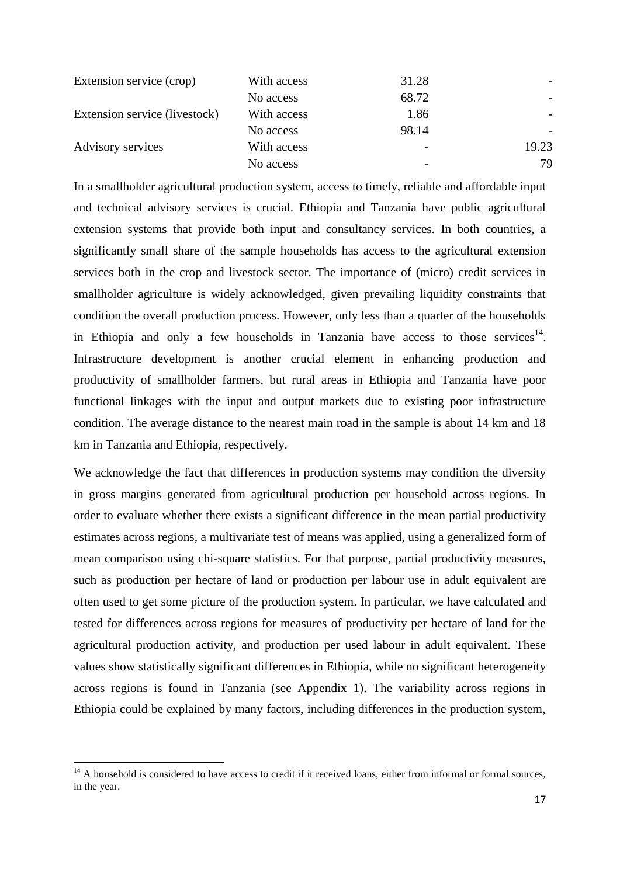| Extension service (crop)      | With access | 31.28 |       |
|-------------------------------|-------------|-------|-------|
|                               | No access   | 68.72 |       |
| Extension service (livestock) | With access | 1.86  |       |
|                               | No access   | 98.14 |       |
| Advisory services             | With access |       | 19.23 |
|                               | No access   |       | 79    |

In a smallholder agricultural production system, access to timely, reliable and affordable input and technical advisory services is crucial. Ethiopia and Tanzania have public agricultural extension systems that provide both input and consultancy services. In both countries, a significantly small share of the sample households has access to the agricultural extension services both in the crop and livestock sector. The importance of (micro) credit services in smallholder agriculture is widely acknowledged, given prevailing liquidity constraints that condition the overall production process. However, only less than a quarter of the households in Ethiopia and only a few households in Tanzania have access to those services<sup>14</sup>. Infrastructure development is another crucial element in enhancing production and productivity of smallholder farmers, but rural areas in Ethiopia and Tanzania have poor functional linkages with the input and output markets due to existing poor infrastructure condition. The average distance to the nearest main road in the sample is about 14 km and 18 km in Tanzania and Ethiopia, respectively.

We acknowledge the fact that differences in production systems may condition the diversity in gross margins generated from agricultural production per household across regions. In order to evaluate whether there exists a significant difference in the mean partial productivity estimates across regions, a multivariate test of means was applied, using a generalized form of mean comparison using chi-square statistics. For that purpose, partial productivity measures, such as production per hectare of land or production per labour use in adult equivalent are often used to get some picture of the production system. In particular, we have calculated and tested for differences across regions for measures of productivity per hectare of land for the agricultural production activity, and production per used labour in adult equivalent. These values show statistically significant differences in Ethiopia, while no significant heterogeneity across regions is found in Tanzania (see Appendix 1). The variability across regions in Ethiopia could be explained by many factors, including differences in the production system,

 $\overline{a}$ 

 $14$  A household is considered to have access to credit if it received loans, either from informal or formal sources, in the year.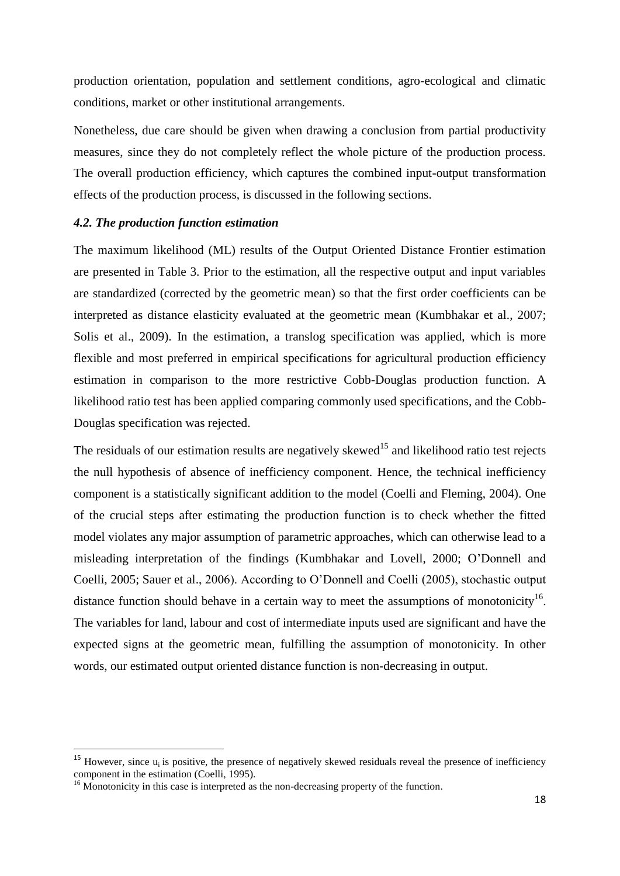production orientation, population and settlement conditions, agro-ecological and climatic conditions, market or other institutional arrangements.

Nonetheless, due care should be given when drawing a conclusion from partial productivity measures, since they do not completely reflect the whole picture of the production process. The overall production efficiency, which captures the combined input-output transformation effects of the production process, is discussed in the following sections.

## *4.2. The production function estimation*

The maximum likelihood (ML) results of the Output Oriented Distance Frontier estimation are presented in Table 3. Prior to the estimation, all the respective output and input variables are standardized (corrected by the geometric mean) so that the first order coefficients can be interpreted as distance elasticity evaluated at the geometric mean (Kumbhakar et al., 2007; Solis et al., 2009). In the estimation, a translog specification was applied, which is more flexible and most preferred in empirical specifications for agricultural production efficiency estimation in comparison to the more restrictive Cobb-Douglas production function. A likelihood ratio test has been applied comparing commonly used specifications, and the Cobb-Douglas specification was rejected.

The residuals of our estimation results are negatively skewed<sup>15</sup> and likelihood ratio test rejects the null hypothesis of absence of inefficiency component. Hence, the technical inefficiency component is a statistically significant addition to the model (Coelli and Fleming, 2004). One of the crucial steps after estimating the production function is to check whether the fitted model violates any major assumption of parametric approaches, which can otherwise lead to a misleading interpretation of the findings (Kumbhakar and Lovell, 2000; O'Donnell and Coelli, 2005; Sauer et al., 2006). According to O'Donnell and Coelli (2005), stochastic output distance function should behave in a certain way to meet the assumptions of monotonicity<sup>16</sup>. The variables for land, labour and cost of intermediate inputs used are significant and have the expected signs at the geometric mean, fulfilling the assumption of monotonicity. In other words, our estimated output oriented distance function is non-decreasing in output.

**.** 

 $15$  However, since  $u_i$  is positive, the presence of negatively skewed residuals reveal the presence of inefficiency component in the estimation (Coelli, 1995).

<sup>&</sup>lt;sup>16</sup> Monotonicity in this case is interpreted as the non-decreasing property of the function.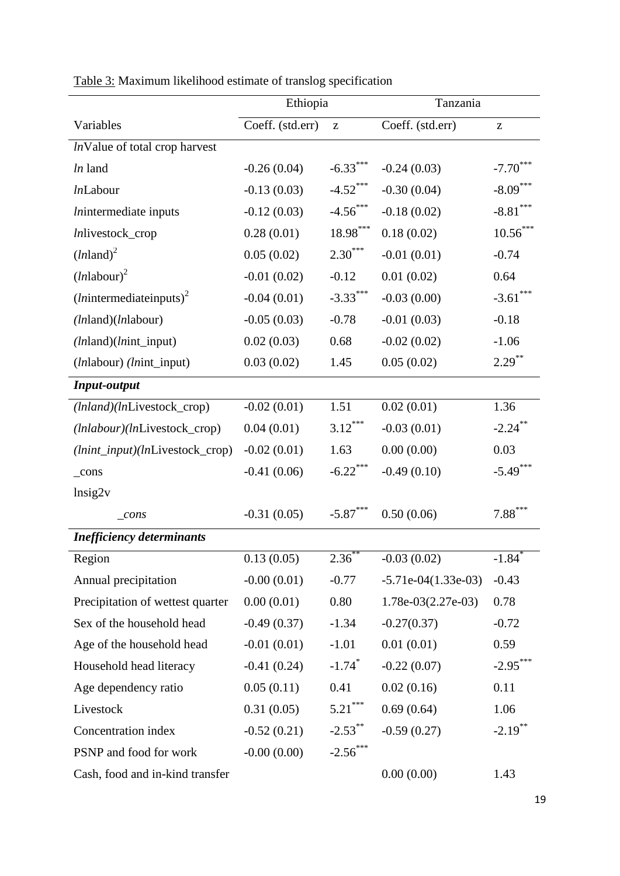|                                            | Ethiopia         |                                                       | Tanzania              |                                                       |  |
|--------------------------------------------|------------------|-------------------------------------------------------|-----------------------|-------------------------------------------------------|--|
| Variables                                  | Coeff. (std.err) | $\mathbf{Z}% ^{T}=\mathbf{Z}^{T}\times\mathbf{Z}^{T}$ | Coeff. (std.err)      | $\mathbf{Z}% ^{T}=\mathbf{Z}^{T}\times\mathbf{Z}^{T}$ |  |
| InValue of total crop harvest              |                  |                                                       |                       |                                                       |  |
| In land                                    | $-0.26(0.04)$    | $-6.33***$                                            | $-0.24(0.03)$         | $-7.70$                                               |  |
| <i>ln</i> Labour                           | $-0.13(0.03)$    | $-4.52$ ***                                           | $-0.30(0.04)$         | $-8.09***$                                            |  |
| <i>lnintermediate</i> inputs               | $-0.12(0.03)$    | $-4.56$ ***                                           | $-0.18(0.02)$         | $-8.81***$                                            |  |
| Inlivestock_crop                           | 0.28(0.01)       | $\textbf{18.98}^{\ast\ast\ast}$                       | 0.18(0.02)            | $10.56***$                                            |  |
| $(lnland)^2$                               | 0.05(0.02)       | $2.30***$                                             | $-0.01(0.01)$         | $-0.74$                                               |  |
| $(lnlabour)^2$                             | $-0.01(0.02)$    | $-0.12$                                               | 0.01(0.02)            | 0.64                                                  |  |
| $(ln$ intermediateinputs) <sup>2</sup>     | $-0.04(0.01)$    | $-3.33***$                                            | $-0.03(0.00)$         | $-3.61***$                                            |  |
| (lnland)(lnlabour)                         | $-0.05(0.03)$    | $-0.78$                                               | $-0.01(0.03)$         | $-0.18$                                               |  |
| $(lnland)(lnint\_input)$                   | 0.02(0.03)       | 0.68                                                  | $-0.02(0.02)$         | $-1.06$                                               |  |
| ( <i>ln</i> labour) ( <i>lnint_input</i> ) | 0.03(0.02)       | 1.45                                                  | 0.05(0.02)            | $2.29***$                                             |  |
| <b>Input-output</b>                        |                  |                                                       |                       |                                                       |  |
| (lnland)(lnLivestock_crop)                 | $-0.02(0.01)$    | 1.51                                                  | 0.02(0.01)            | 1.36                                                  |  |
| (lnlabour)(lnLivestock_crop)               | 0.04(0.01)       | $3.12***$                                             | $-0.03(0.01)$         | $-2.24$ **                                            |  |
| (lnint_input)(lnLivestock_crop)            | $-0.02(0.01)$    | 1.63                                                  | 0.00(0.00)            | 0.03                                                  |  |
| $_{\rm cons}$                              | $-0.41(0.06)$    | $-6.22$ ***                                           | $-0.49(0.10)$         | $-5.49***$                                            |  |
| lnsig2v                                    |                  |                                                       |                       |                                                       |  |
| $_{cons}$                                  | $-0.31(0.05)$    | $-5.87***$                                            | 0.50(0.06)            | $7.88***$                                             |  |
| <b>Inefficiency determinants</b>           |                  |                                                       |                       |                                                       |  |
| Region                                     | 0.13(0.05)       | $2.\overline{36}^{**}$                                | $-0.03(0.02)$         | $-1.\overline{84}^*$                                  |  |
| Annual precipitation                       | $-0.00(0.01)$    | $-0.77$                                               | $-5.71e-04(1.33e-03)$ | $-0.43$                                               |  |
| Precipitation of wettest quarter           | 0.00(0.01)       | 0.80                                                  | $1.78e-03(2.27e-03)$  | 0.78                                                  |  |
| Sex of the household head                  | $-0.49(0.37)$    | $-1.34$                                               | $-0.27(0.37)$         | $-0.72$                                               |  |
| Age of the household head                  | $-0.01(0.01)$    | $-1.01$                                               | 0.01(0.01)            | 0.59                                                  |  |
| Household head literacy                    | $-0.41(0.24)$    | $-1.74$ <sup>*</sup>                                  | $-0.22(0.07)$         | $-2.95***$                                            |  |
| Age dependency ratio                       | 0.05(0.11)       | 0.41                                                  | 0.02(0.16)            | 0.11                                                  |  |
| Livestock                                  | 0.31(0.05)       | $5.21***$                                             | 0.69(0.64)            | 1.06                                                  |  |
| Concentration index                        | $-0.52(0.21)$    | $-2.53$ **                                            | $-0.59(0.27)$         | $-2.19$ **                                            |  |
| PSNP and food for work                     | $-0.00(0.00)$    | $-2.56$ ***                                           |                       |                                                       |  |
| Cash, food and in-kind transfer            |                  |                                                       | 0.00(0.00)            | 1.43                                                  |  |

| Table 3: Maximum likelihood estimate of translog specification |  |  |
|----------------------------------------------------------------|--|--|
|                                                                |  |  |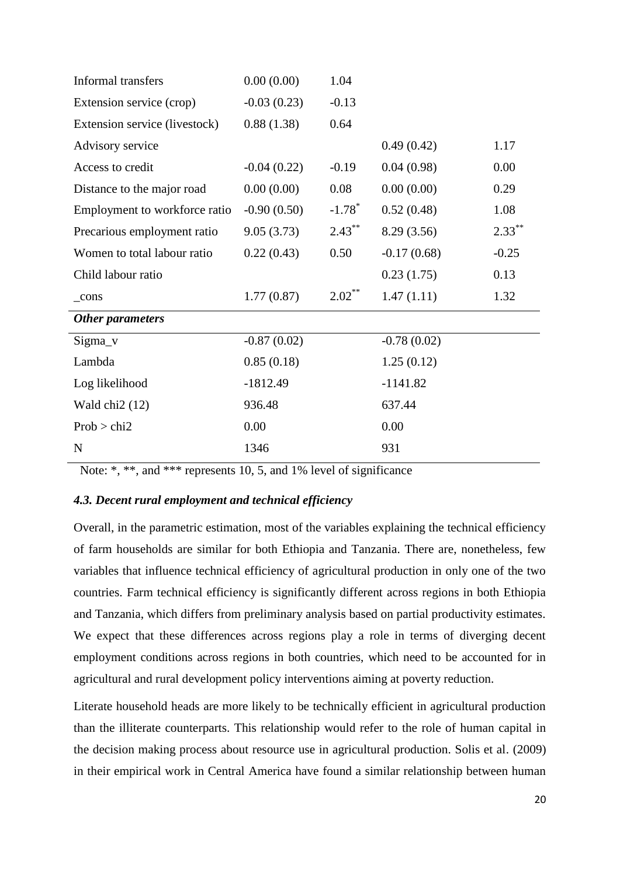| Informal transfers            | 0.00(0.00)    | 1.04                 |               |           |
|-------------------------------|---------------|----------------------|---------------|-----------|
| Extension service (crop)      | $-0.03(0.23)$ | $-0.13$              |               |           |
| Extension service (livestock) | 0.88(1.38)    | 0.64                 |               |           |
| Advisory service              |               |                      | 0.49(0.42)    | 1.17      |
| Access to credit              | $-0.04(0.22)$ | $-0.19$              | 0.04(0.98)    | 0.00      |
| Distance to the major road    | 0.00(0.00)    | 0.08                 | 0.00(0.00)    | 0.29      |
| Employment to workforce ratio | $-0.90(0.50)$ | $-1.78$ <sup>*</sup> | 0.52(0.48)    | 1.08      |
| Precarious employment ratio   | 9.05(3.73)    | $2.43***$            | 8.29 (3.56)   | $2.33***$ |
| Women to total labour ratio   | 0.22(0.43)    | 0.50                 | $-0.17(0.68)$ | $-0.25$   |
| Child labour ratio            |               |                      | 0.23(1.75)    | 0.13      |
| $_{cons}$                     | 1.77(0.87)    | $2.02***$            | 1.47(1.11)    | 1.32      |
| Other parameters              |               |                      |               |           |
| $Sigma_v$                     | $-0.87(0.02)$ |                      | $-0.78(0.02)$ |           |
| Lambda                        | 0.85(0.18)    |                      | 1.25(0.12)    |           |
| Log likelihood                | $-1812.49$    |                      | $-1141.82$    |           |
| Wald chi $2(12)$              | 936.48        |                      | 637.44        |           |
| Prob > chi2                   | 0.00          |                      | 0.00          |           |
| $\mathbf N$                   | 1346          |                      | 931           |           |

Note: \*, \*\*, and \*\*\* represents 10, 5, and 1% level of significance

## *4.3. Decent rural employment and technical efficiency*

Overall, in the parametric estimation, most of the variables explaining the technical efficiency of farm households are similar for both Ethiopia and Tanzania. There are, nonetheless, few variables that influence technical efficiency of agricultural production in only one of the two countries. Farm technical efficiency is significantly different across regions in both Ethiopia and Tanzania, which differs from preliminary analysis based on partial productivity estimates. We expect that these differences across regions play a role in terms of diverging decent employment conditions across regions in both countries, which need to be accounted for in agricultural and rural development policy interventions aiming at poverty reduction.

Literate household heads are more likely to be technically efficient in agricultural production than the illiterate counterparts. This relationship would refer to the role of human capital in the decision making process about resource use in agricultural production. Solis et al. (2009) in their empirical work in Central America have found a similar relationship between human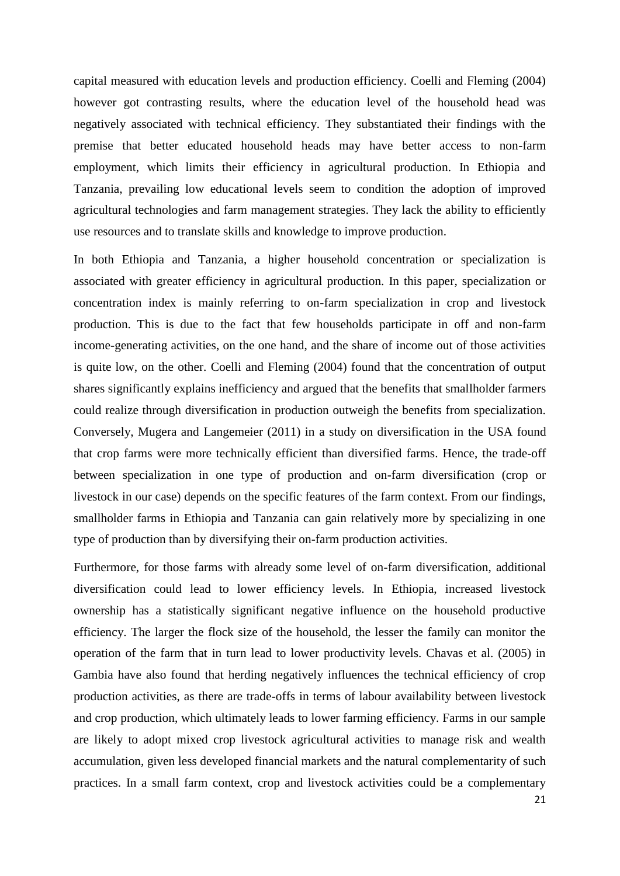capital measured with education levels and production efficiency. Coelli and Fleming (2004) however got contrasting results, where the education level of the household head was negatively associated with technical efficiency. They substantiated their findings with the premise that better educated household heads may have better access to non-farm employment, which limits their efficiency in agricultural production. In Ethiopia and Tanzania, prevailing low educational levels seem to condition the adoption of improved agricultural technologies and farm management strategies. They lack the ability to efficiently use resources and to translate skills and knowledge to improve production.

In both Ethiopia and Tanzania, a higher household concentration or specialization is associated with greater efficiency in agricultural production. In this paper, specialization or concentration index is mainly referring to on-farm specialization in crop and livestock production. This is due to the fact that few households participate in off and non-farm income-generating activities, on the one hand, and the share of income out of those activities is quite low, on the other. Coelli and Fleming (2004) found that the concentration of output shares significantly explains inefficiency and argued that the benefits that smallholder farmers could realize through diversification in production outweigh the benefits from specialization. Conversely, Mugera and Langemeier (2011) in a study on diversification in the USA found that crop farms were more technically efficient than diversified farms. Hence, the trade-off between specialization in one type of production and on-farm diversification (crop or livestock in our case) depends on the specific features of the farm context. From our findings, smallholder farms in Ethiopia and Tanzania can gain relatively more by specializing in one type of production than by diversifying their on-farm production activities.

Furthermore, for those farms with already some level of on-farm diversification, additional diversification could lead to lower efficiency levels. In Ethiopia, increased livestock ownership has a statistically significant negative influence on the household productive efficiency. The larger the flock size of the household, the lesser the family can monitor the operation of the farm that in turn lead to lower productivity levels. Chavas et al. (2005) in Gambia have also found that herding negatively influences the technical efficiency of crop production activities, as there are trade-offs in terms of labour availability between livestock and crop production, which ultimately leads to lower farming efficiency. Farms in our sample are likely to adopt mixed crop livestock agricultural activities to manage risk and wealth accumulation, given less developed financial markets and the natural complementarity of such practices. In a small farm context, crop and livestock activities could be a complementary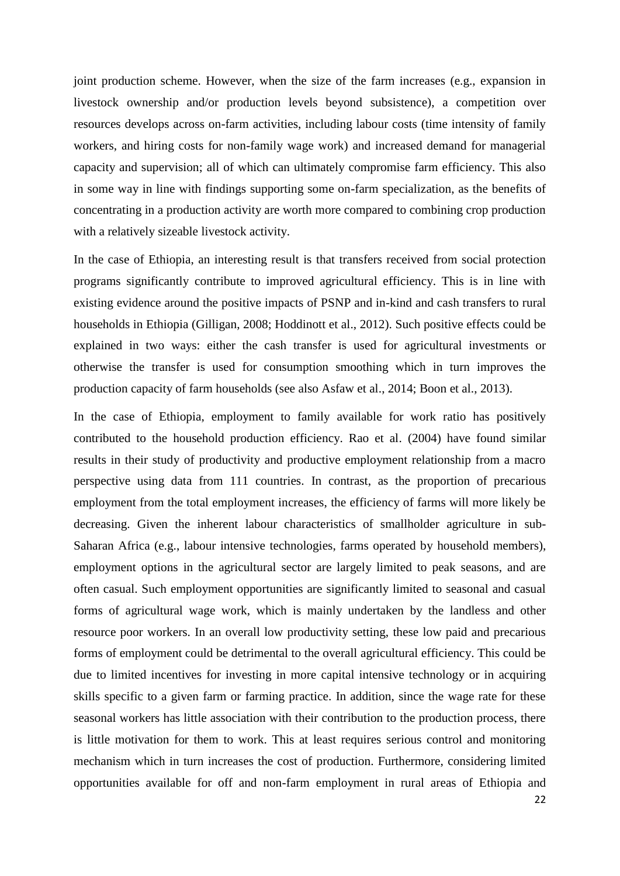joint production scheme. However, when the size of the farm increases (e.g., expansion in livestock ownership and/or production levels beyond subsistence), a competition over resources develops across on-farm activities, including labour costs (time intensity of family workers, and hiring costs for non-family wage work) and increased demand for managerial capacity and supervision; all of which can ultimately compromise farm efficiency. This also in some way in line with findings supporting some on-farm specialization, as the benefits of concentrating in a production activity are worth more compared to combining crop production with a relatively sizeable livestock activity.

In the case of Ethiopia, an interesting result is that transfers received from social protection programs significantly contribute to improved agricultural efficiency. This is in line with existing evidence around the positive impacts of PSNP and in-kind and cash transfers to rural households in Ethiopia (Gilligan, 2008; Hoddinott et al., 2012). Such positive effects could be explained in two ways: either the cash transfer is used for agricultural investments or otherwise the transfer is used for consumption smoothing which in turn improves the production capacity of farm households (see also Asfaw et al., 2014; Boon et al., 2013).

In the case of Ethiopia, employment to family available for work ratio has positively contributed to the household production efficiency. Rao et al. (2004) have found similar results in their study of productivity and productive employment relationship from a macro perspective using data from 111 countries. In contrast, as the proportion of precarious employment from the total employment increases, the efficiency of farms will more likely be decreasing. Given the inherent labour characteristics of smallholder agriculture in sub-Saharan Africa (e.g., labour intensive technologies, farms operated by household members), employment options in the agricultural sector are largely limited to peak seasons, and are often casual. Such employment opportunities are significantly limited to seasonal and casual forms of agricultural wage work, which is mainly undertaken by the landless and other resource poor workers. In an overall low productivity setting, these low paid and precarious forms of employment could be detrimental to the overall agricultural efficiency. This could be due to limited incentives for investing in more capital intensive technology or in acquiring skills specific to a given farm or farming practice. In addition, since the wage rate for these seasonal workers has little association with their contribution to the production process, there is little motivation for them to work. This at least requires serious control and monitoring mechanism which in turn increases the cost of production. Furthermore, considering limited opportunities available for off and non-farm employment in rural areas of Ethiopia and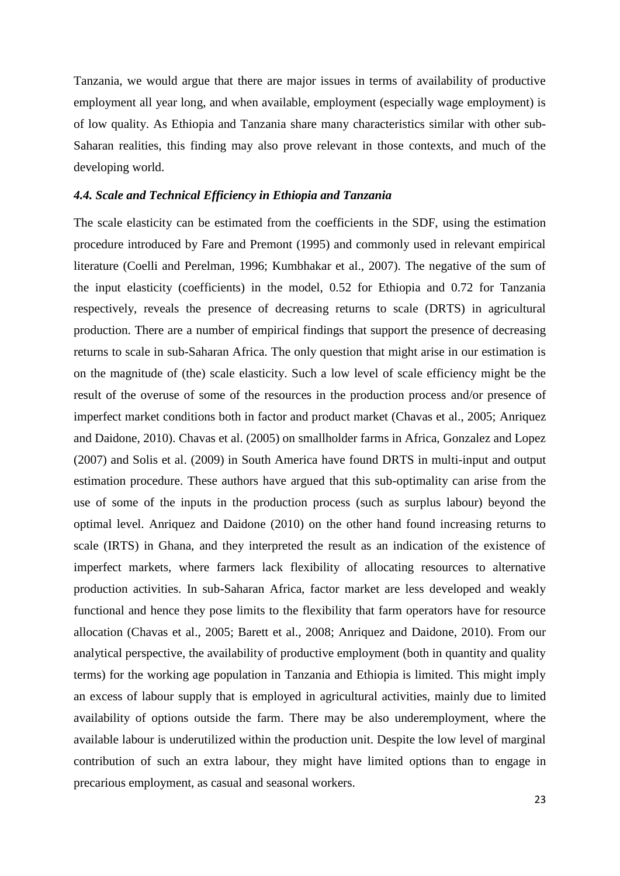Tanzania, we would argue that there are major issues in terms of availability of productive employment all year long, and when available, employment (especially wage employment) is of low quality. As Ethiopia and Tanzania share many characteristics similar with other sub-Saharan realities, this finding may also prove relevant in those contexts, and much of the developing world.

#### *4.4. Scale and Technical Efficiency in Ethiopia and Tanzania*

The scale elasticity can be estimated from the coefficients in the SDF, using the estimation procedure introduced by Fare and Premont (1995) and commonly used in relevant empirical literature (Coelli and Perelman, 1996; Kumbhakar et al., 2007). The negative of the sum of the input elasticity (coefficients) in the model, 0.52 for Ethiopia and 0.72 for Tanzania respectively, reveals the presence of decreasing returns to scale (DRTS) in agricultural production. There are a number of empirical findings that support the presence of decreasing returns to scale in sub-Saharan Africa. The only question that might arise in our estimation is on the magnitude of (the) scale elasticity. Such a low level of scale efficiency might be the result of the overuse of some of the resources in the production process and/or presence of imperfect market conditions both in factor and product market (Chavas et al., 2005; Anriquez and Daidone, 2010). Chavas et al. (2005) on smallholder farms in Africa, Gonzalez and Lopez (2007) and Solis et al. (2009) in South America have found DRTS in multi-input and output estimation procedure. These authors have argued that this sub-optimality can arise from the use of some of the inputs in the production process (such as surplus labour) beyond the optimal level. Anriquez and Daidone (2010) on the other hand found increasing returns to scale (IRTS) in Ghana, and they interpreted the result as an indication of the existence of imperfect markets, where farmers lack flexibility of allocating resources to alternative production activities. In sub-Saharan Africa, factor market are less developed and weakly functional and hence they pose limits to the flexibility that farm operators have for resource allocation (Chavas et al., 2005; Barett et al., 2008; Anriquez and Daidone, 2010). From our analytical perspective, the availability of productive employment (both in quantity and quality terms) for the working age population in Tanzania and Ethiopia is limited. This might imply an excess of labour supply that is employed in agricultural activities, mainly due to limited availability of options outside the farm. There may be also underemployment, where the available labour is underutilized within the production unit. Despite the low level of marginal contribution of such an extra labour, they might have limited options than to engage in precarious employment, as casual and seasonal workers.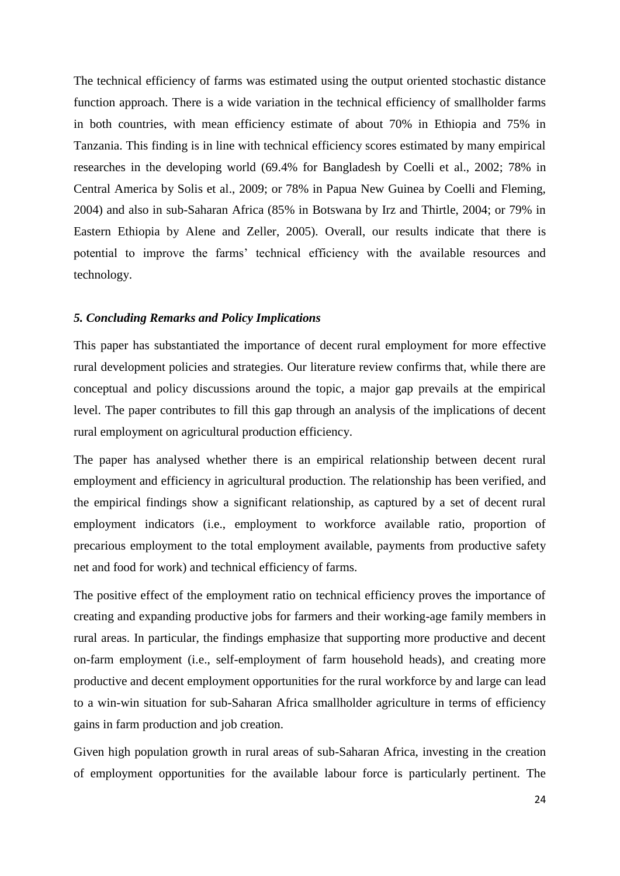The technical efficiency of farms was estimated using the output oriented stochastic distance function approach. There is a wide variation in the technical efficiency of smallholder farms in both countries, with mean efficiency estimate of about 70% in Ethiopia and 75% in Tanzania. This finding is in line with technical efficiency scores estimated by many empirical researches in the developing world (69.4% for Bangladesh by Coelli et al., 2002; 78% in Central America by Solis et al., 2009; or 78% in Papua New Guinea by Coelli and Fleming, 2004) and also in sub-Saharan Africa (85% in Botswana by Irz and Thirtle, 2004; or 79% in Eastern Ethiopia by Alene and Zeller, 2005). Overall, our results indicate that there is potential to improve the farms' technical efficiency with the available resources and technology.

## *5. Concluding Remarks and Policy Implications*

This paper has substantiated the importance of decent rural employment for more effective rural development policies and strategies. Our literature review confirms that, while there are conceptual and policy discussions around the topic, a major gap prevails at the empirical level. The paper contributes to fill this gap through an analysis of the implications of decent rural employment on agricultural production efficiency.

The paper has analysed whether there is an empirical relationship between decent rural employment and efficiency in agricultural production. The relationship has been verified, and the empirical findings show a significant relationship, as captured by a set of decent rural employment indicators (i.e., employment to workforce available ratio, proportion of precarious employment to the total employment available, payments from productive safety net and food for work) and technical efficiency of farms.

The positive effect of the employment ratio on technical efficiency proves the importance of creating and expanding productive jobs for farmers and their working-age family members in rural areas. In particular, the findings emphasize that supporting more productive and decent on-farm employment (i.e., self-employment of farm household heads), and creating more productive and decent employment opportunities for the rural workforce by and large can lead to a win-win situation for sub-Saharan Africa smallholder agriculture in terms of efficiency gains in farm production and job creation.

Given high population growth in rural areas of sub-Saharan Africa, investing in the creation of employment opportunities for the available labour force is particularly pertinent. The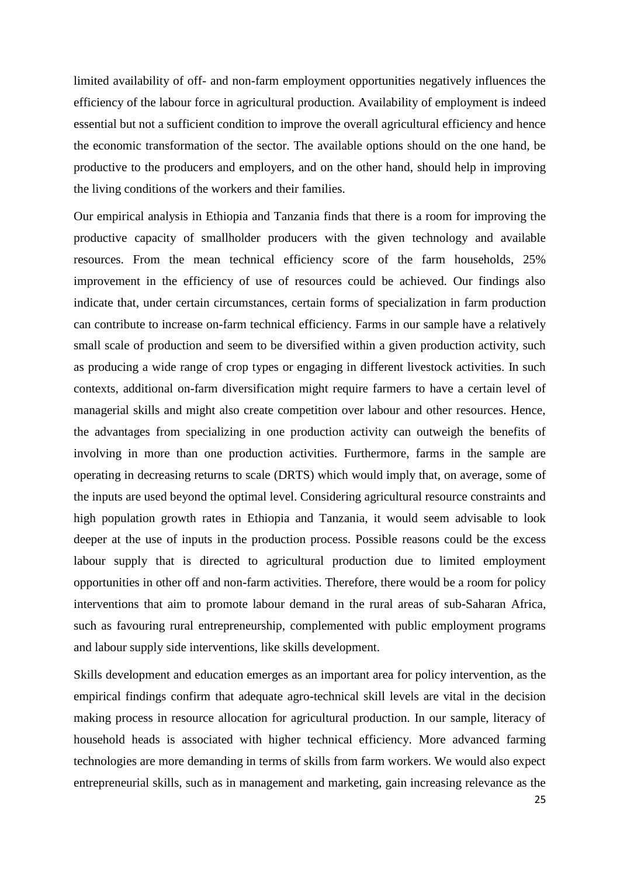limited availability of off- and non-farm employment opportunities negatively influences the efficiency of the labour force in agricultural production. Availability of employment is indeed essential but not a sufficient condition to improve the overall agricultural efficiency and hence the economic transformation of the sector. The available options should on the one hand, be productive to the producers and employers, and on the other hand, should help in improving the living conditions of the workers and their families.

Our empirical analysis in Ethiopia and Tanzania finds that there is a room for improving the productive capacity of smallholder producers with the given technology and available resources. From the mean technical efficiency score of the farm households, 25% improvement in the efficiency of use of resources could be achieved. Our findings also indicate that, under certain circumstances, certain forms of specialization in farm production can contribute to increase on-farm technical efficiency. Farms in our sample have a relatively small scale of production and seem to be diversified within a given production activity, such as producing a wide range of crop types or engaging in different livestock activities. In such contexts, additional on-farm diversification might require farmers to have a certain level of managerial skills and might also create competition over labour and other resources. Hence, the advantages from specializing in one production activity can outweigh the benefits of involving in more than one production activities. Furthermore, farms in the sample are operating in decreasing returns to scale (DRTS) which would imply that, on average, some of the inputs are used beyond the optimal level. Considering agricultural resource constraints and high population growth rates in Ethiopia and Tanzania, it would seem advisable to look deeper at the use of inputs in the production process. Possible reasons could be the excess labour supply that is directed to agricultural production due to limited employment opportunities in other off and non-farm activities. Therefore, there would be a room for policy interventions that aim to promote labour demand in the rural areas of sub-Saharan Africa, such as favouring rural entrepreneurship, complemented with public employment programs and labour supply side interventions, like skills development.

Skills development and education emerges as an important area for policy intervention, as the empirical findings confirm that adequate agro-technical skill levels are vital in the decision making process in resource allocation for agricultural production. In our sample, literacy of household heads is associated with higher technical efficiency. More advanced farming technologies are more demanding in terms of skills from farm workers. We would also expect entrepreneurial skills, such as in management and marketing, gain increasing relevance as the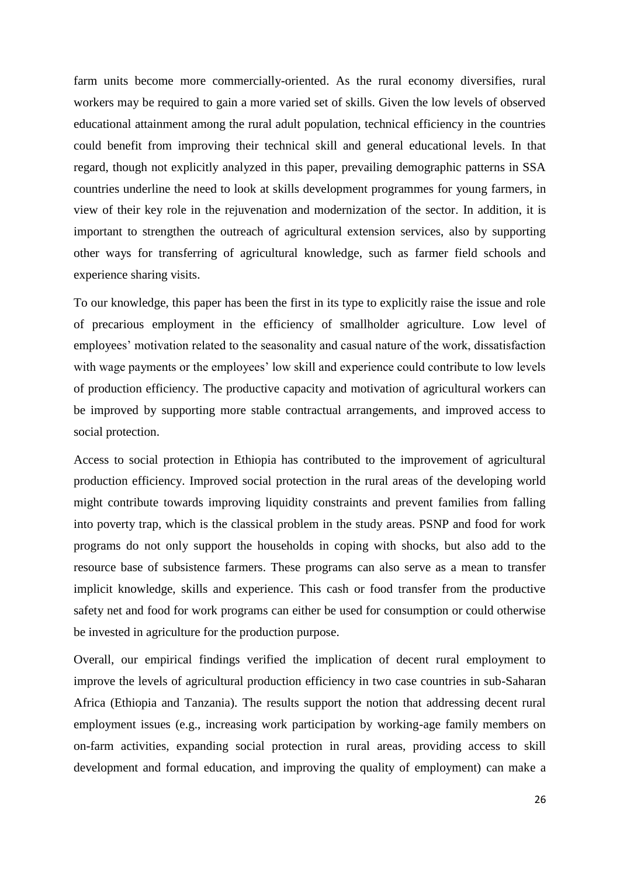farm units become more commercially-oriented. As the rural economy diversifies, rural workers may be required to gain a more varied set of skills. Given the low levels of observed educational attainment among the rural adult population, technical efficiency in the countries could benefit from improving their technical skill and general educational levels. In that regard, though not explicitly analyzed in this paper, prevailing demographic patterns in SSA countries underline the need to look at skills development programmes for young farmers, in view of their key role in the rejuvenation and modernization of the sector. In addition, it is important to strengthen the outreach of agricultural extension services, also by supporting other ways for transferring of agricultural knowledge, such as farmer field schools and experience sharing visits.

To our knowledge, this paper has been the first in its type to explicitly raise the issue and role of precarious employment in the efficiency of smallholder agriculture. Low level of employees' motivation related to the seasonality and casual nature of the work, dissatisfaction with wage payments or the employees' low skill and experience could contribute to low levels of production efficiency. The productive capacity and motivation of agricultural workers can be improved by supporting more stable contractual arrangements, and improved access to social protection.

Access to social protection in Ethiopia has contributed to the improvement of agricultural production efficiency. Improved social protection in the rural areas of the developing world might contribute towards improving liquidity constraints and prevent families from falling into poverty trap, which is the classical problem in the study areas. PSNP and food for work programs do not only support the households in coping with shocks, but also add to the resource base of subsistence farmers. These programs can also serve as a mean to transfer implicit knowledge, skills and experience. This cash or food transfer from the productive safety net and food for work programs can either be used for consumption or could otherwise be invested in agriculture for the production purpose.

Overall, our empirical findings verified the implication of decent rural employment to improve the levels of agricultural production efficiency in two case countries in sub-Saharan Africa (Ethiopia and Tanzania). The results support the notion that addressing decent rural employment issues (e.g., increasing work participation by working-age family members on on-farm activities, expanding social protection in rural areas, providing access to skill development and formal education, and improving the quality of employment) can make a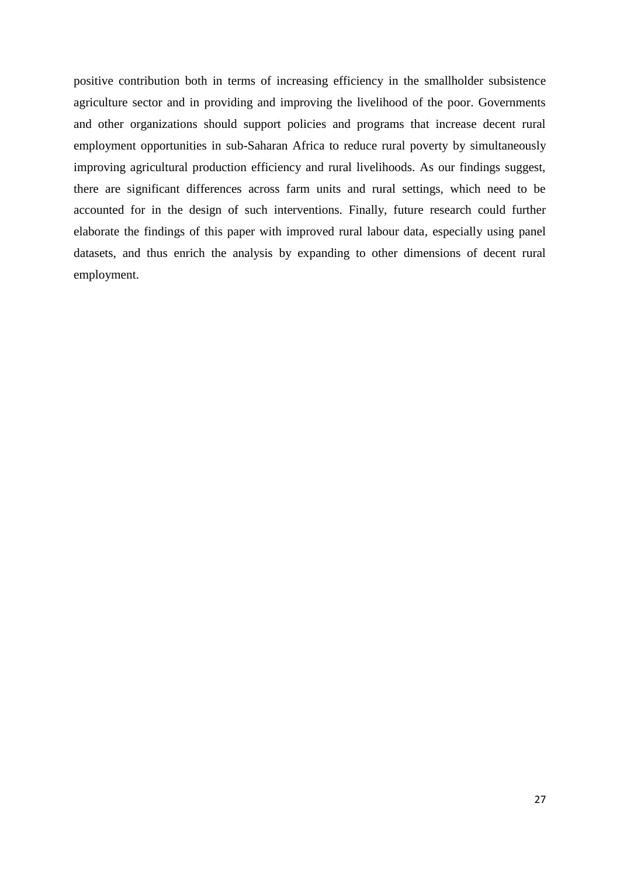positive contribution both in terms of increasing efficiency in the smallholder subsistence agriculture sector and in providing and improving the livelihood of the poor. Governments and other organizations should support policies and programs that increase decent rural employment opportunities in sub-Saharan Africa to reduce rural poverty by simultaneously improving agricultural production efficiency and rural livelihoods. As our findings suggest, there are significant differences across farm units and rural settings, which need to be accounted for in the design of such interventions. Finally, future research could further elaborate the findings of this paper with improved rural labour data, especially using panel datasets, and thus enrich the analysis by expanding to other dimensions of decent rural employment.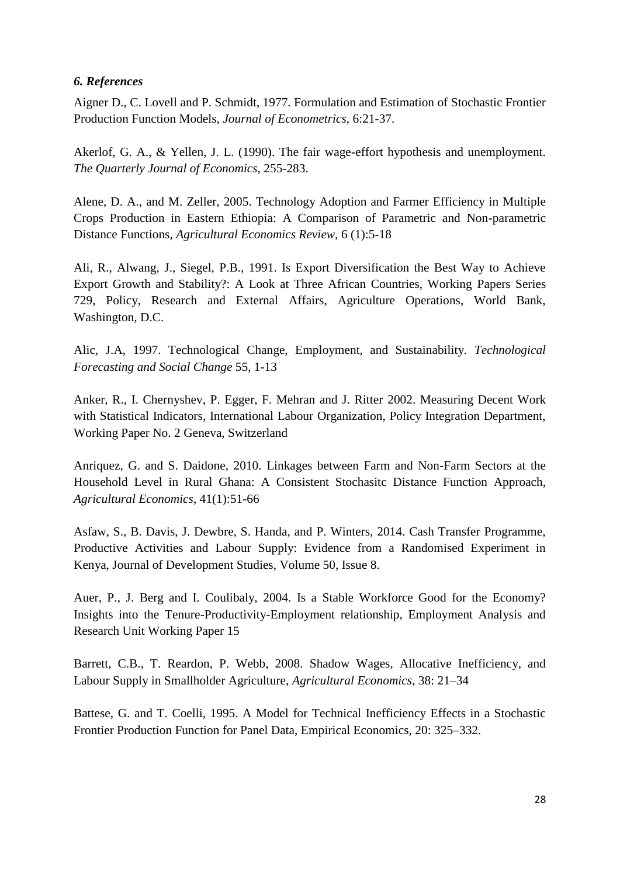# *6. References*

Aigner D., C. Lovell and P. Schmidt, 1977. Formulation and Estimation of Stochastic Frontier Production Function Models, *Journal of Econometrics*, 6:21-37.

Akerlof, G. A., & Yellen, J. L. (1990). The fair wage-effort hypothesis and unemployment. *The Quarterly Journal of Economics*, 255-283.

Alene, D. A., and M. Zeller, 2005. Technology Adoption and Farmer Efficiency in Multiple Crops Production in Eastern Ethiopia: A Comparison of Parametric and Non-parametric Distance Functions, *Agricultural Economics Review,* 6 (1):5-18

Ali, R., Alwang, J., Siegel, P.B., 1991. Is Export Diversification the Best Way to Achieve Export Growth and Stability?: A Look at Three African Countries, Working Papers Series 729, Policy, Research and External Affairs, Agriculture Operations, World Bank, Washington, D.C.

Alic, J.A, 1997. Technological Change, Employment, and Sustainability. *Technological Forecasting and Social Change* 55, 1-13

Anker, R., I. Chernyshev, P. Egger, F. Mehran and J. Ritter 2002. Measuring Decent Work with Statistical Indicators, International Labour Organization, Policy Integration Department, Working Paper No. 2 Geneva, Switzerland

Anriquez, G. and S. Daidone, 2010. Linkages between Farm and Non-Farm Sectors at the Household Level in Rural Ghana: A Consistent Stochasitc Distance Function Approach, *Agricultural Economics*, 41(1):51-66

Asfaw, S., B. Davis, J. Dewbre, S. Handa, and P. Winters, 2014. Cash Transfer Programme, Productive Activities and Labour Supply: Evidence from a Randomised Experiment in Kenya, Journal of Development Studies, Volume 50, Issue 8.

Auer, P., J. Berg and I. Coulibaly, 2004. Is a Stable Workforce Good for the Economy? Insights into the Tenure-Productivity-Employment relationship, Employment Analysis and Research Unit Working Paper 15

Barrett, C.B., T. Reardon, P. Webb, 2008. Shadow Wages, Allocative Inefficiency, and Labour Supply in Smallholder Agriculture, *Agricultural Economics*, 38: 21–34

Battese, G. and T. Coelli, 1995. A Model for Technical Inefficiency Effects in a Stochastic Frontier Production Function for Panel Data, Empirical Economics, 20: 325–332.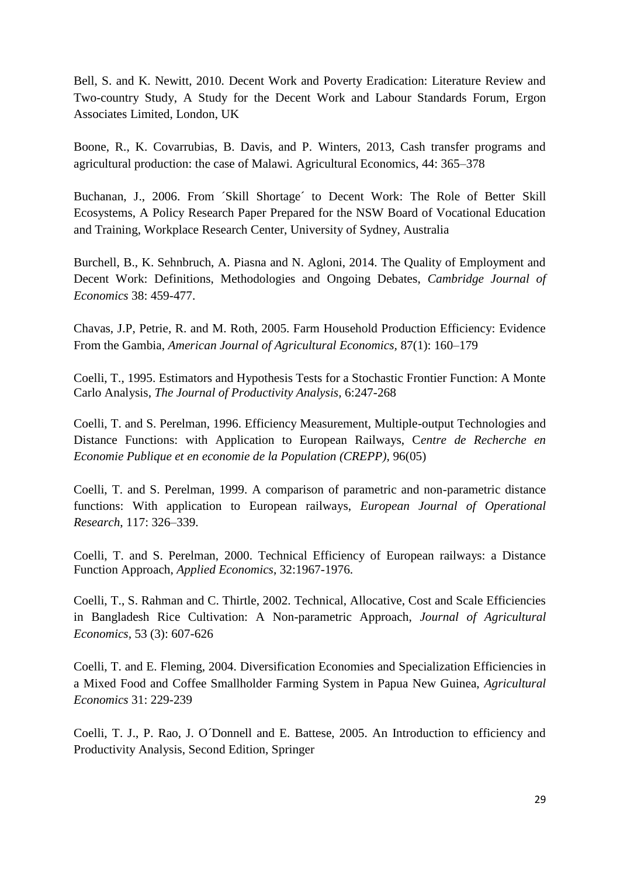Bell, S. and K. Newitt, 2010. Decent Work and Poverty Eradication: Literature Review and Two-country Study, A Study for the Decent Work and Labour Standards Forum, Ergon Associates Limited, London, UK

Boone, R., K. Covarrubias, B. Davis, and P. Winters, 2013, Cash transfer programs and agricultural production: the case of Malawi. Agricultural Economics, 44: 365–378

Buchanan, J., 2006. From ´Skill Shortage´ to Decent Work: The Role of Better Skill Ecosystems, A Policy Research Paper Prepared for the NSW Board of Vocational Education and Training, Workplace Research Center, University of Sydney, Australia

Burchell, B., K. Sehnbruch, A. Piasna and N. Agloni, 2014. The Quality of Employment and Decent Work: Definitions, Methodologies and Ongoing Debates, *Cambridge Journal of Economics* 38: 459-477.

Chavas, J.P, Petrie, R. and M. Roth, 2005. Farm Household Production Efficiency: Evidence From the Gambia, *American Journal of Agricultural Economics,* 87(1): 160–179

Coelli, T., 1995. Estimators and Hypothesis Tests for a Stochastic Frontier Function: A Monte Carlo Analysis, *The Journal of Productivity Analysis,* 6:247-268

Coelli, T. and S. Perelman, 1996. Efficiency Measurement, Multiple-output Technologies and Distance Functions: with Application to European Railways, C*entre de Recherche en Economie Publique et en economie de la Population (CREPP),* 96(05)

Coelli, T. and S. Perelman, 1999. A comparison of parametric and non-parametric distance functions: With application to European railways, *European Journal of Operational Research*, 117: 326–339.

Coelli, T. and S. Perelman, 2000. Technical Efficiency of European railways: a Distance Function Approach, *Applied Economics*, 32:1967-1976.

Coelli, T., S. Rahman and C. Thirtle, 2002. Technical, Allocative, Cost and Scale Efficiencies in Bangladesh Rice Cultivation: A Non-parametric Approach, *Journal of Agricultural Economics,* 53 (3): 607-626

Coelli, T. and E. Fleming, 2004. Diversification Economies and Specialization Efficiencies in a Mixed Food and Coffee Smallholder Farming System in Papua New Guinea, *Agricultural Economics* 31: 229-239

Coelli, T. J., P. Rao, J. O´Donnell and E. Battese, 2005. An Introduction to efficiency and Productivity Analysis, Second Edition, Springer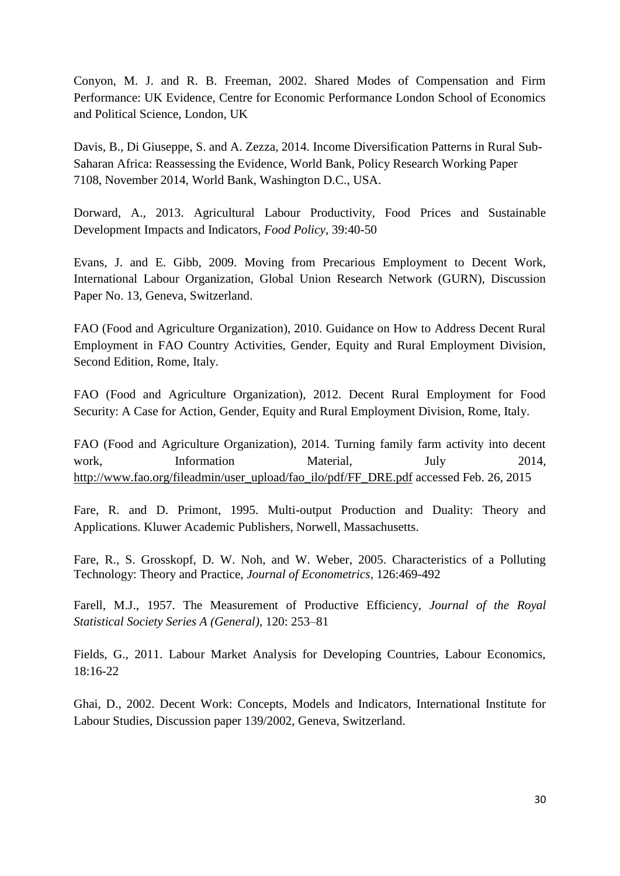Conyon, M. J. and R. B. Freeman, 2002. Shared Modes of Compensation and Firm Performance: UK Evidence, Centre for Economic Performance London School of Economics and Political Science, London, UK

Davis, B., Di Giuseppe, S. and A. Zezza, 2014. Income Diversification Patterns in Rural Sub-Saharan Africa: Reassessing the Evidence, World Bank, Policy Research Working Paper 7108, November 2014, World Bank, Washington D.C., USA.

Dorward, A., 2013. Agricultural Labour Productivity, Food Prices and Sustainable Development Impacts and Indicators, *Food Policy,* 39:40-50

Evans, J. and E. Gibb, 2009. Moving from Precarious Employment to Decent Work, International Labour Organization, Global Union Research Network (GURN), Discussion Paper No. 13, Geneva, Switzerland.

FAO (Food and Agriculture Organization), 2010. Guidance on How to Address Decent Rural Employment in FAO Country Activities, Gender, Equity and Rural Employment Division, Second Edition, Rome, Italy.

FAO (Food and Agriculture Organization), 2012. Decent Rural Employment for Food Security: A Case for Action, Gender, Equity and Rural Employment Division, Rome, Italy.

FAO (Food and Agriculture Organization), 2014. Turning family farm activity into decent work, Information Material, July 2014, [http://www.fao.org/fileadmin/user\\_upload/fao\\_ilo/pdf/FF\\_DRE.pdf](http://www.fao.org/fileadmin/user_upload/fao_ilo/pdf/FF_DRE.pdf) accessed Feb. 26, 2015

Fare, R. and D. Primont, 1995. Multi-output Production and Duality: Theory and Applications. Kluwer Academic Publishers, Norwell, Massachusetts.

Fare, R., S. Grosskopf, D. W. Noh, and W. Weber, 2005. Characteristics of a Polluting Technology: Theory and Practice, *Journal of Econometrics*, 126:469-492

Farell, M.J., 1957. The Measurement of Productive Efficiency, *Journal of the Royal Statistical Society Series A (General)*, 120: 253–81

Fields, G., 2011. Labour Market Analysis for Developing Countries, Labour Economics, 18:16-22

Ghai, D., 2002. Decent Work: Concepts, Models and Indicators, International Institute for Labour Studies, Discussion paper 139/2002, Geneva, Switzerland.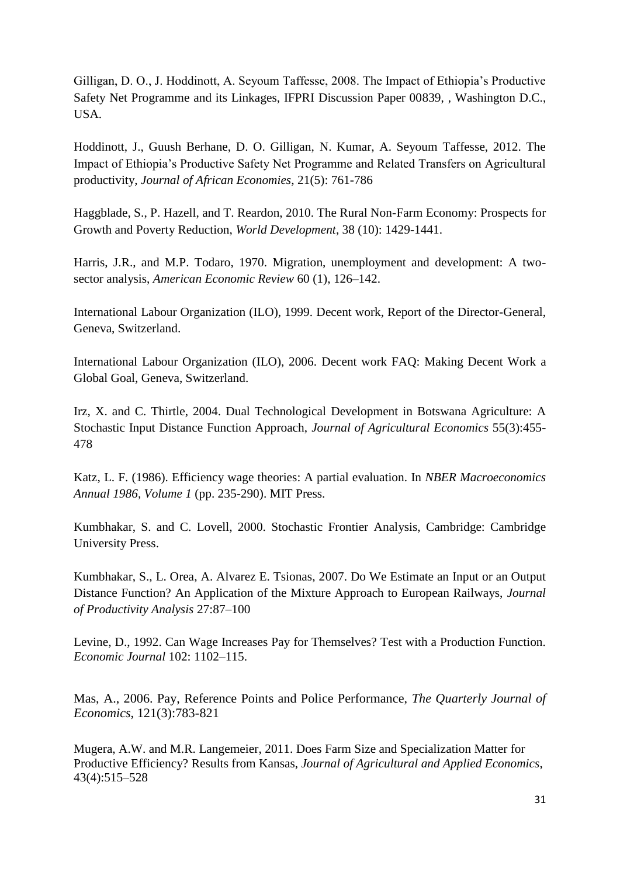Gilligan, D. O., J. Hoddinott, A. Seyoum Taffesse, 2008. The Impact of Ethiopia's Productive Safety Net Programme and its Linkages, IFPRI Discussion Paper 00839, , Washington D.C., USA.

Hoddinott, J., Guush Berhane, D. O. Gilligan, N. Kumar, A. Seyoum Taffesse, 2012. The Impact of Ethiopia's Productive Safety Net Programme and Related Transfers on Agricultural productivity, *Journal of African Economies*, 21(5): 761-786

Haggblade, S., P. Hazell, and T. Reardon, 2010. The Rural Non-Farm Economy: Prospects for Growth and Poverty Reduction, *World Development*, 38 (10): 1429-1441.

Harris, J.R., and M.P. Todaro, 1970. Migration, unemployment and development: A twosector analysis, *American Economic Review* 60 (1), 126–142.

International Labour Organization (ILO), 1999. Decent work, Report of the Director-General, Geneva, Switzerland.

International Labour Organization (ILO), 2006. Decent work FAQ: Making Decent Work a Global Goal, Geneva, Switzerland.

Irz, X. and C. Thirtle, 2004. Dual Technological Development in Botswana Agriculture: A Stochastic Input Distance Function Approach, *Journal of Agricultural Economics* 55(3):455- 478

Katz, L. F. (1986). Efficiency wage theories: A partial evaluation. In *NBER Macroeconomics Annual 1986, Volume 1* (pp. 235-290). MIT Press.

Kumbhakar, S. and C. Lovell, 2000. Stochastic Frontier Analysis, Cambridge: Cambridge University Press.

Kumbhakar, S., L. Orea, A. Alvarez E. Tsionas, 2007. Do We Estimate an Input or an Output Distance Function? An Application of the Mixture Approach to European Railways, *Journal of Productivity Analysis* 27:87–100

Levine, D., 1992. Can Wage Increases Pay for Themselves? Test with a Production Function. *Economic Journal* 102: 1102–115.

Mas, A., 2006. Pay, Reference Points and Police Performance, *The Quarterly Journal of Economics*, 121(3):783-821

Mugera, A.W. and M.R. Langemeier, 2011. Does Farm Size and Specialization Matter for Productive Efficiency? Results from Kansas, *Journal of Agricultural and Applied Economics*, 43(4):515–528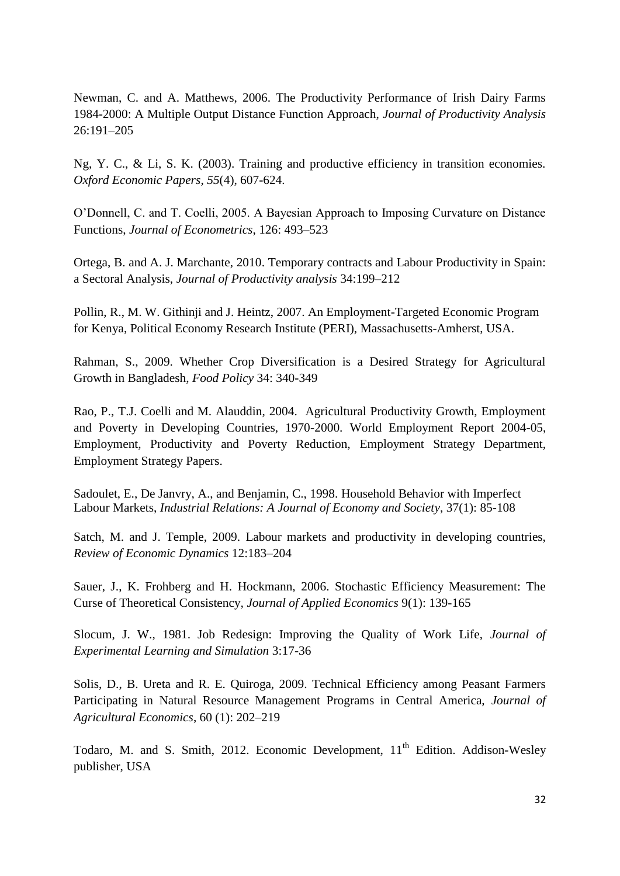Newman, C. and A. Matthews, 2006. The Productivity Performance of Irish Dairy Farms 1984-2000: A Multiple Output Distance Function Approach, *Journal of Productivity Analysis*  26:191–205

Ng, Y. C., & Li, S. K. (2003). Training and productive efficiency in transition economies. *Oxford Economic Papers*, *55*(4), 607-624.

O'Donnell, C. and T. Coelli, 2005. A Bayesian Approach to Imposing Curvature on Distance Functions, *Journal of Econometrics*, 126: 493–523

Ortega, B. and A. J. Marchante, 2010. Temporary contracts and Labour Productivity in Spain: a Sectoral Analysis, *Journal of Productivity analysis* 34:199–212

Pollin, R., M. W. Githinji and J. Heintz, 2007. An Employment-Targeted Economic Program for Kenya, Political Economy Research Institute (PERI), Massachusetts-Amherst, USA.

Rahman, S., 2009. Whether Crop Diversification is a Desired Strategy for Agricultural Growth in Bangladesh, *Food Policy* 34: 340-349

Rao, P., T.J. Coelli and M. Alauddin, 2004. Agricultural Productivity Growth, Employment and Poverty in Developing Countries, 1970-2000. World Employment Report 2004-05, Employment, Productivity and Poverty Reduction, Employment Strategy Department, Employment Strategy Papers.

Sadoulet, E., De Janvry, A., and Benjamin, C., 1998. Household Behavior with Imperfect Labour Markets, *[Industrial Relations: A Journal of Economy and Society](http://onlinelibrary.wiley.com/journal/10.1111/%28ISSN%291468-232X)*, 37(1): 85-108

Satch, M. and J. Temple, 2009. Labour markets and productivity in developing countries, *Review of Economic Dynamics* 12:183–204

Sauer, J., K. Frohberg and H. Hockmann, 2006. Stochastic Efficiency Measurement: The Curse of Theoretical Consistency*, Journal of Applied Economics* 9(1): 139-165

Slocum, J. W., 1981. Job Redesign: Improving the Quality of Work Life, *Journal of Experimental Learning and Simulation* 3:17-36

Solis, D., B. Ureta and R. E. Quiroga, 2009. Technical Efficiency among Peasant Farmers Participating in Natural Resource Management Programs in Central America, *Journal of Agricultural Economics*, 60 (1): 202–219

Todaro, M. and S. Smith, 2012. Economic Development, 11<sup>th</sup> Edition. Addison-Wesley publisher, USA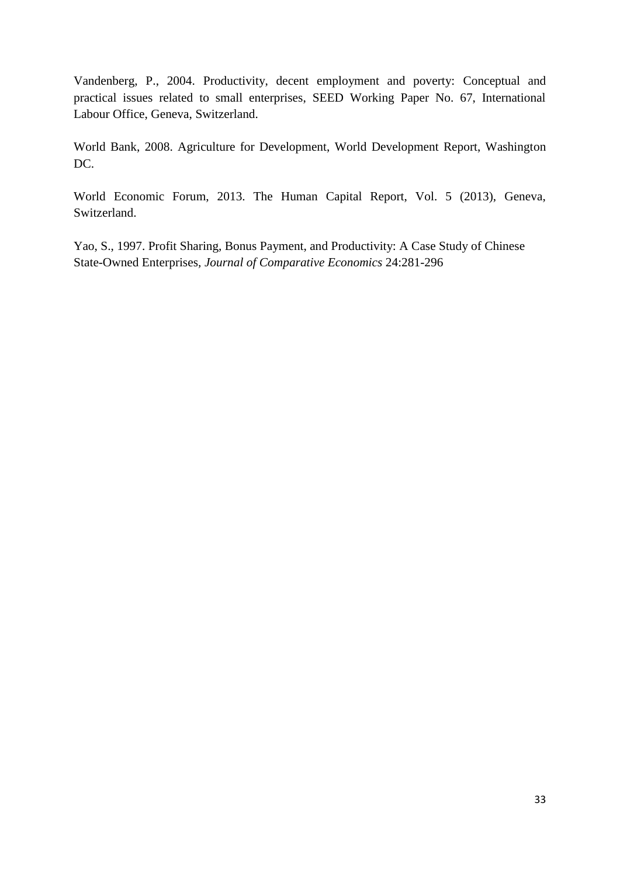Vandenberg, P., 2004. Productivity, decent employment and poverty: Conceptual and practical issues related to small enterprises, SEED Working Paper No. 67, International Labour Office, Geneva, Switzerland.

World Bank, 2008. Agriculture for Development, World Development Report, Washington DC.

World Economic Forum, 2013. The Human Capital Report, Vol. 5 (2013), Geneva, Switzerland.

Yao, S., 1997. Profit Sharing, Bonus Payment, and Productivity: A Case Study of Chinese State-Owned Enterprises*, Journal of Comparative Economics* 24:281-296